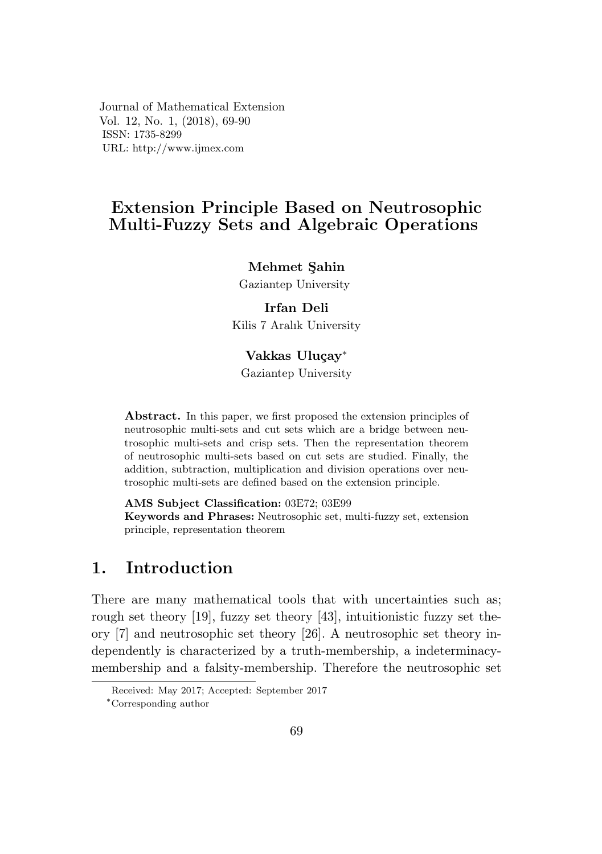Journal of Mathematical Extension Vol. 12, No. 1,  $(2018)$ , 69-90 ISSN: 1735-8299 URL: http://www.ijmex.com

## Extension Principle Based on Neutrosophic Multi-Fuzzy Sets and Algebraic Operations Extension Principle Based on Neutrosophic

# Mehmet Şahin

Gaziantep University

# Irfan Deli

Kilis 7 Aralık University Gaziantep University

#### Vakkas Uluçay<sup>∗</sup>

Gaziantep University

Abstract. In this paper, we first proposed the extension principles of neutrosophic multi-sets and cut sets which are a bridge between neutrosophic multi-sets and crisp sets. Then the representation theorem of neutrosophic multi-sets based on cut sets are studied. Finally, the addition, subtraction, multiplication and division operations over neuaddition; subtraction, multiplication and division operations over heaof neutrosophic multi-sets based on cut sets are studied. Finally, the

AMS Subject Classification:  $03E72$ ;  $03E99$ Keywords and Phrases: Neutrosophic set, multi-fuzzy set, extension principle, representation theorem

# 1. Introduction

There are many mathematical tools that with uncertainties such as; rough set theory [19], fuzzy set theory [43], intuitionistic fuzzy set theory  $[7]$  and neutrosophic set theory  $[26]$ . A neutrosophic set theory independently is characterized by a truth-membership, a indeterminacymembership and a falsity-membership. Therefore the neutrosophic set

Received: May 2017; Accepted: September 2017

 $*$ Corresponding author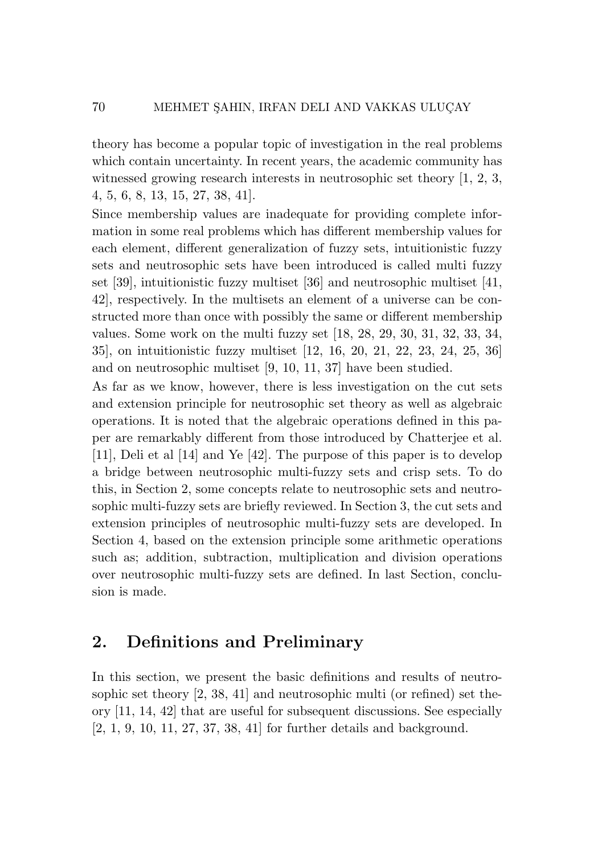theory has become a popular topic of investigation in the real problems which contain uncertainty. In recent years, the academic community has witnessed growing research interests in neutrosophic set theory [1, 2, 3, 4, 5, 6, 8, 13, 15, 27, 38, 41].

Since membership values are inadequate for providing complete information in some real problems which has different membership values for each element, different generalization of fuzzy sets, intuitionistic fuzzy sets and neutrosophic sets have been introduced is called multi fuzzy set [39], intuitionistic fuzzy multiset [36] and neutrosophic multiset [41, 42], respectively. In the multisets an element of a universe can be constructed more than once with possibly the same or different membership values. Some work on the multi fuzzy set [18, 28, 29, 30, 31, 32, 33, 34, 35], on intuitionistic fuzzy multiset [12, 16, 20, 21, 22, 23, 24, 25, 36] and on neutrosophic multiset [9, 10, 11, 37] have been studied.

As far as we know, however, there is less investigation on the cut sets and extension principle for neutrosophic set theory as well as algebraic operations. It is noted that the algebraic operations defined in this paper are remarkably different from those introduced by Chatterjee et al. [11], Deli et al [14] and Ye [42]. The purpose of this paper is to develop a bridge between neutrosophic multi-fuzzy sets and crisp sets. To do this, in Section 2, some concepts relate to neutrosophic sets and neutrosophic multi-fuzzy sets are briefly reviewed. In Section 3, the cut sets and extension principles of neutrosophic multi-fuzzy sets are developed. In Section 4, based on the extension principle some arithmetic operations such as; addition, subtraction, multiplication and division operations over neutrosophic multi-fuzzy sets are defined. In last Section, conclusion is made.

## 2. Definitions and Preliminary

In this section, we present the basic definitions and results of neutrosophic set theory [2, 38, 41] and neutrosophic multi (or refined) set theory [11, 14, 42] that are useful for subsequent discussions. See especially [2, 1, 9, 10, 11, 27, 37, 38, 41] for further details and background.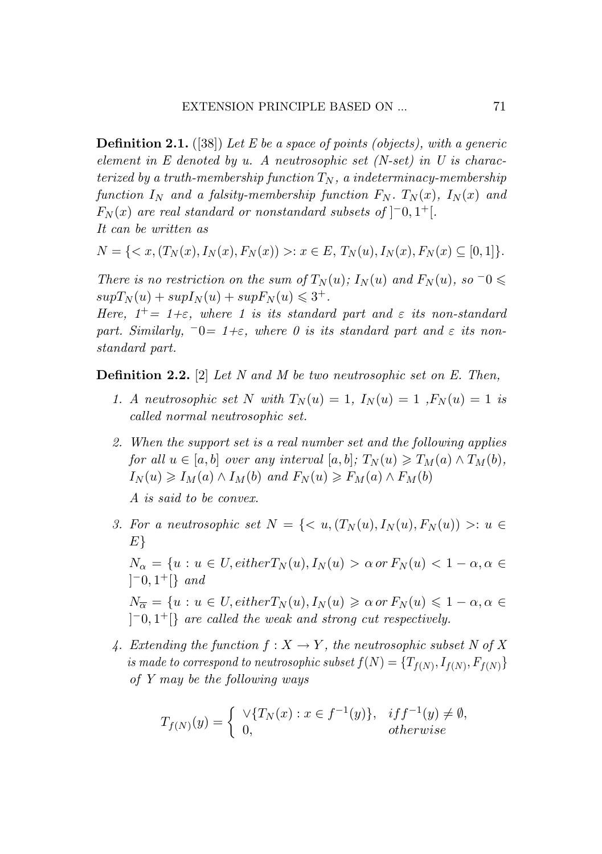**Definition 2.1.** ([38]) Let E be a space of points (objects), with a generic element in  $E$  denoted by  $u$ . A neutrosophic set (N-set) in  $U$  is characterized by a truth-membership function  $T_N$ , a indeterminacy-membership function  $I_N$  and a falsity-membership function  $F_N$ .  $T_N(x)$ ,  $I_N(x)$  and  $F_N(x)$  are real standard or nonstandard subsets of  $]$ <sup>-</sup>0,1<sup>+</sup>[. *It can be written as It can be written as It can be written as*

$$
N = \{ \langle x, (T_N(x), I_N(x), F_N(x)) \rangle : x \in E, T_N(u), I_N(x), F_N(x) \subseteq [0, 1] \}.
$$

There is no restriction on the sum of  $T_N(u)$ ;  $I_N(u)$  and  $F_N(u)$ , so  $\neg 0 \leq$  $supT_N(u) + supI_N(u) + supF_N(u) \leq 3^+.$ 

Here,  $1^+=1+\varepsilon$ , where 1 is its standard part and  $\varepsilon$  its non-standard part. Similarly,  $\bar{0} = 1+\varepsilon$ , where 0 is its standard part and  $\varepsilon$  its non*standard part. standard part. standard part.*

Definition 2.2. [2] *Let N and M be two neutrosophic set on E. Then,* Definition 2.2. [2] *Let N and M be two neutrosophic set on E. Then,* Definition 2.2. [2] *Let N and M be two neutrosophic set on E. Then,*

- 1. A neutrosophic set N with  $T_N(u) = 1$ ,  $I_N(u) = 1$ ,  $F_N(u) = 1$  is *called normal neutrosophic set. called normal neutrosophic set. called normal neutrosophic set.*
- 2. When the support set is a real number set and the following applies  $for~all~u\in [a,b]~over~any~interval~[a,b];~T_N(u)\geqslant T_M(a)\wedge T_M(b),$  $I_N(u) \geqslant I_M(a) \wedge I_M(b) \text{ and } F_N(u) \geqslant F_M(a) \wedge F_M(b)$

*A is said to be convex. A is said to be convex. A is said to be convex.*

3. For a neutrosophic set  $N = \{ \langle u, (T_N(u), I_N(u), F_N(u)) \rangle : u \in$ *E} E} E}*

 $N_{\alpha} = \{u : u \in U, either T_N(u), I_N(u) > \alpha \text{ or } F_N(u) < 1 - \alpha, \alpha \in V \}$ ] *<sup>−</sup>*0*,* <sup>1</sup>+[*} and* ] *<sup>−</sup>*0*,* <sup>1</sup>+[*} and* ] *<sup>−</sup>*0*,* <sup>1</sup>+[*} and*

 $N_{\overline{\alpha}} \, = \, \{ u \, : \, u \, \in \, U, either \: T_N(u), I_N(u) \, \geqslant \, \alpha \: or \: F_N(u) \, \leqslant \, 1 \, - \, \alpha, \, \alpha \, \in \, I \}$  $]$ <sup>-0</sup>, 1<sup>+</sup>[} are called the weak and strong cut respectively.

4. Extending the function  $f: X \to Y$ , the neutrosophic subset N of X is made to correspond to neutrosophic subset  $f(N) = \{T_{f(N)}, I_{f(N)}, F_{f(N)}\}$ *of Y may be the following ways of Y may be the following ways of Y may be the following ways*

$$
T_{f(N)}(y) = \begin{cases} \forall \{T_N(x) : x \in f^{-1}(y)\}, & if f^{-1}(y) \neq \emptyset, \\ 0, & otherwise \end{cases}
$$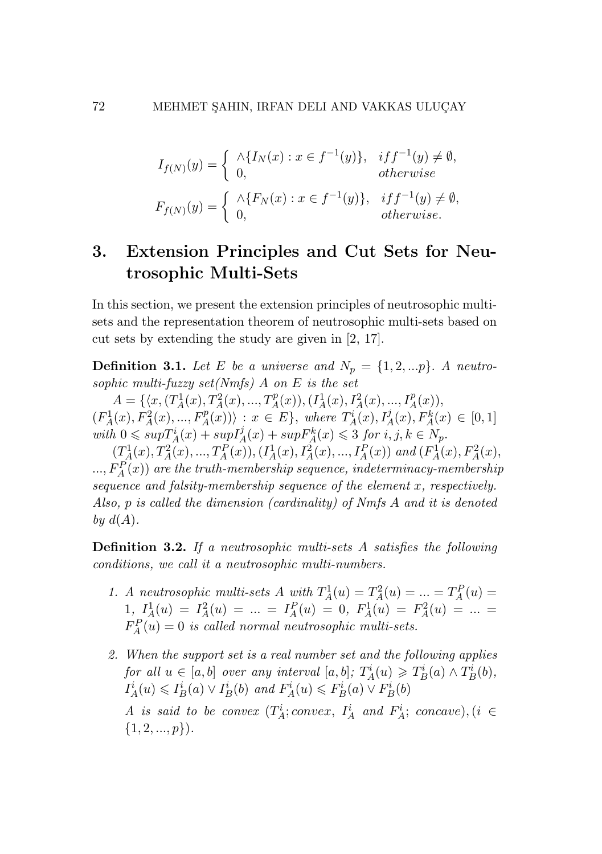$$
I_{f(N)}(y) = \begin{cases} \wedge \{I_N(x) : x \in f^{-1}(y)\}, & if f^{-1}(y) \neq \emptyset, \\ 0, & otherwise \end{cases}
$$

$$
F_{f(N)}(y) = \begin{cases} \wedge \{F_N(x) : x \in f^{-1}(y)\}, & if f^{-1}(y) \neq \emptyset, \\ 0, & otherwise. \end{cases}
$$

## 3. Extension Principles and Cut Sets for Neutrosophic Multi-Sets

In this section, we present the extension principles of neutrosophic multisets and the representation theorem of neutrosophic multi-sets based on cut sets by extending the study are given in [2, 17].

**Definition 3.1.** Let *E* be a universe and  $N_p = \{1, 2, \ldots p\}$ . A neutro*sophic multi-fuzzy set(Nmfs) A on E is the set*

 $A = \{ (x, (T_A^1(x), T_A^2(x), ..., T_A^p(x)), (I_A^1(x), I_A^2(x), ..., I_A^p(x)),$  $(F_A^1(x), F_A^2(x),..., F_A^p(x))$  :  $x \in E$ , where  $T_A^i(x), I_A^j(x), F_A^k(x) \in [0,1]$  $with\ 0\leqslant\sup T^i_A(x)+\sup I^j_A(x)+\sup F^k_A(x)\leqslant 3\ for\ i,j,k\in N_p.$ 

 $(T_A^1(x), T_A^2(x),..., T_A^P(x)), (I_A^1(x), I_A^2(x),..., I_A^P(x))$  and  $(F_A^1(x), F_A^2(x),$  $L_{m}$ ,  $F_{A}^{P}(x)$  are the truth-membership sequence, indeterminacy-membership *sequence and falsity-membership sequence of the element x, respectively. Also, p is called the dimension (cardinality) of Nmfs A and it is denoted* by  $d(A)$ .

Definition 3.2. *If a neutrosophic multi-sets A satisfies the following conditions, we call it a neutrosophic multi-numbers.*

- *1. A neutrosophic multi-sets A with*  $T_A^1(u) = T_A^2(u) = ... = T_A^P(u)$  $1, I_A^1(u) = I_A^2(u) = ... = I_A^P(u) = 0, F_A^1(u) = F_A^2(u) = ... =$  $F_A^P(u) = 0$  *is called normal neutrosophic multi-sets.*
- *2. When the support set is a real number set and the following applies for all*  $u \in [a, b]$  *over any interval*  $[a, b]$ *;*  $T_A^i(u) \geq T_B^i(a) \wedge T_B^i(b)$ *,*  $I_A^i(u) \leq I_B^i(a) \vee I_B^i(b)$  and  $F_A^i(u) \leq F_B^i(a) \vee F_B^i(b)$ *A is said to be convex*  $(T_A^i; convex, I_A^i$  *and*  $F_A^i; concave)$ ,  $(i \in$ *{*1*,* 2*, ..., p}*)*.*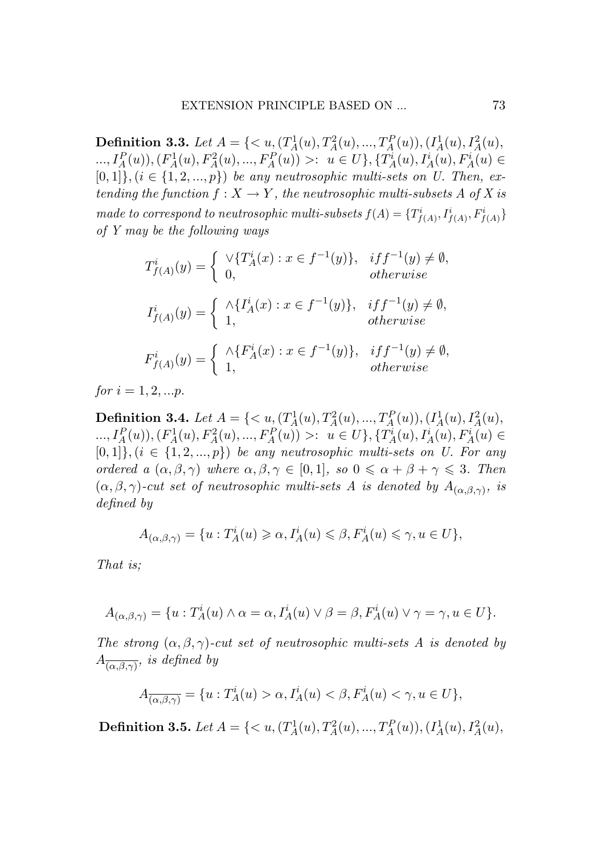**Definition 3.3.** Let  $A = \{ \langle u, (T_A^1(u), T_A^2(u), ..., T_A^P(u)), (I_A^1(u), I_A^2(u), \ldots, I_A^P(u))\rangle \}$  $\ldots, I_A^P(u), (F_A^1(u), F_A^2(u), \ldots, F_A^P(u)) >: u \in U\}, \{T_A^i(u), I_A^i(u), F_A^i(u) \in$  $[0,1]$ ,  $(i \in \{1,2,...,p\})$  be any neutrosophic multi-sets on U. Then, extending the function  $f: X \to Y$ , the neutrosophic multi-subsets A of X is made to correspond to neutrosophic multi-subsets  $f(A) = \{T^i_{f(A)}, I^i_{f(A)}, F^i_{f(A)}\}$ *of Y may be the following ways of Y may be the following ways*

$$
T_{f(A)}^i(y) = \begin{cases} \forall \{T_A^i(x) : x \in f^{-1}(y)\}, & if f^{-1}(y) \neq \emptyset, \\ 0, & otherwise \end{cases}
$$
  

$$
I_{f(A)}^i(y) = \begin{cases} \land \{I_A^i(x) : x \in f^{-1}(y)\}, & if f^{-1}(y) \neq \emptyset, \\ 1, & otherwise \end{cases}
$$
  

$$
F_{f(A)}^i(y) = \begin{cases} \land \{F_A^i(x) : x \in f^{-1}(y)\}, & if f^{-1}(y) \neq \emptyset, \\ 1, & otherwise \end{cases}
$$

 $for i = 1, 2, ...p.$ 

**Definition 3.4.** Let  $A = \{ \langle u, (T_A^1(u), T_A^2(u), ..., T_A^P(u)), (I_A^1(u), I_A^2(u), \ldots, I_A^P(u))\rangle \}$  $\ldots, I_A^P(u), (F_A^1(u), F_A^2(u), \ldots, F_A^P(u)) >: u \in U\}, \{T_A^i(u), I_A^i(u), F_A^i(u) \in$  $[0,1]\}, (i \in \{1,2,...,p\})$  be any neutrosophic multi-sets on U. For any ordered a  $(\alpha, \beta, \gamma)$  where  $\alpha, \beta, \gamma \in [0, 1]$ , so  $0 \leq \alpha + \beta + \gamma \leq 3$ . Then  $(\alpha, \beta, \gamma)$ -cut set of neutrosophic multi-sets A is denoted by  $A_{(\alpha, \beta, \gamma)}$ , is *defined by defined by*

$$
A_{(\alpha,\beta,\gamma)} = \{u : T_A^i(u) \geq \alpha, I_A^i(u) \leq \beta, F_A^i(u) \leq \gamma, u \in U\},\
$$

*That is; That is;*

$$
A_{(\alpha,\beta,\gamma)} = \{u : T_A^i(u) \wedge \alpha = \alpha, I_A^i(u) \vee \beta = \beta, F_A^i(u) \vee \gamma = \gamma, u \in U\}.
$$

*The strong*  $(\alpha, \beta, \gamma)$ *-cut set of neutrosophic multi-sets A is denoted by*  $A_{\overline{(\alpha,\beta,\gamma)}}$ *, is defined by* 

$$
A_{\overline{(\alpha,\beta,\gamma)}} = \{u: T^i_A(u) > \alpha, I^i_A(u) < \beta, F^i_A(u) < \gamma, u \in U\},\
$$

**Definition 3.5.** Let  $A = \{ \langle u, (T_A^1(u), T_A^2(u), ..., T_A^P(u)), (I_A^1(u), I_A^2(u),$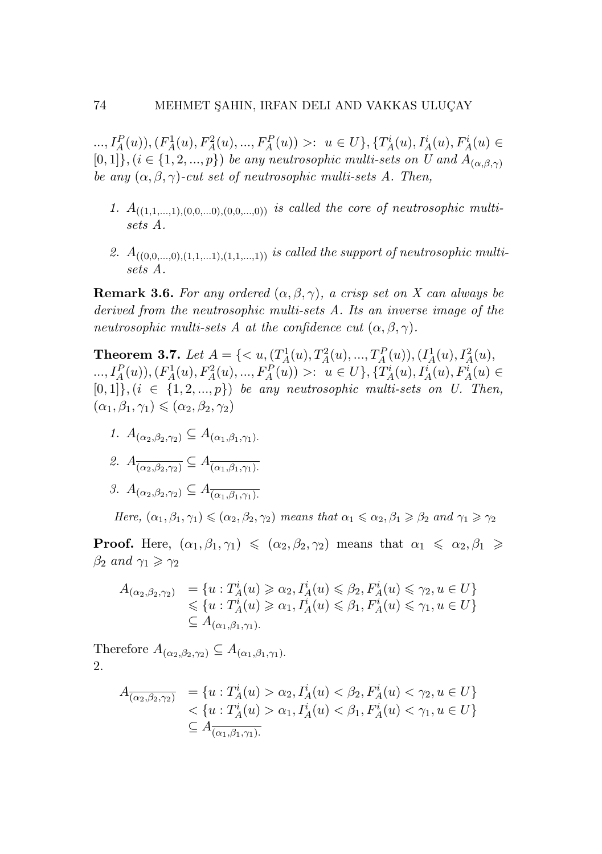...,  $I_A^P(u)$ ,  $(F_A^1(u), F_A^2(u), ..., F_A^P(u)) >: u \in U$ ,  $\{T_A^i(u), T_A^i(u), F_A^i(u) \in$  $[0,1]$ *}*,  $(i \in \{1,2,...,p\})$  *be any neutrosophic multi-sets on U and*  $A_{(\alpha,\beta,\gamma)}$ *be any*  $(\alpha, \beta, \gamma)$ -*cut set of neutrosophic multi-sets A. Then,* 

- 1.  $A_{((1,1,\ldots,1),(0,0,\ldots,0),(0,0,\ldots,0))}$  *is called the core of neutrosophic multisets A.*
- 2.  $A_{((0,0,\ldots,0),(1,1,\ldots,1),(1,1,\ldots,1))}$  *is called the support of neutrosophic multisets A.*

**Remark 3.6.** *For any ordered*  $(\alpha, \beta, \gamma)$ *, a crisp set on X can always be derived from the neutrosophic multi-sets A. Its an inverse image of the neutrosophic multi-sets A at the confidence cut*  $(\alpha, \beta, \gamma)$ *.* 

**Theorem 3.7.** Let  $A = \{ \langle u, (T_A^1(u), T_A^2(u), ..., T_A^P(u)), (I_A^1(u), I_A^2(u),$ ...,  $I_A^P(u)$ ,  $(F_A^1(u), F_A^2(u), ..., F_A^P(u)) >: u \in U$ ,  $\{T_A^i(u), T_A^i(u), F_A^i(u) \in$  $[0,1]$ <sup>}</sup>,  $(i \in \{1,2,...,p\})$  *be any neutrosophic multi-sets on U. Then,*  $(\alpha_1, \beta_1, \gamma_1) \leqslant (\alpha_2, \beta_2, \gamma_2)$ 

- *1. A*(*α*2*,β*2*,γ*2) *⊆ A*(*α*1*,β*1*,γ*1)*.*
- $2. A_{\overline{(\alpha_2,\beta_2,\gamma_2)}} \subseteq A_{\overline{(\alpha_1,\beta_1,\gamma_1)}}$ .
- *3. A*<sub>( $\alpha_2, \beta_2, \gamma_2$ )  $\subseteq A_{\overline{(\alpha_1, \beta_1, \gamma_1)}}$ .</sub>

*Here,*  $(\alpha_1, \beta_1, \gamma_1) \leq (\alpha_2, \beta_2, \gamma_2)$  *means that*  $\alpha_1 \leq \alpha_2, \beta_1 \geq \beta_2$  *and*  $\gamma_1 \geq \gamma_2$ 

**Proof.** Here,  $(\alpha_1, \beta_1, \gamma_1) \leq (\alpha_2, \beta_2, \gamma_2)$  means that  $\alpha_1 \leq \alpha_2, \beta_1 \geq$ *β*<sub>2</sub> *and*  $γ_1 \geq γ_2$ 

$$
A_{(\alpha_2,\beta_2,\gamma_2)} = \{u : T_A^i(u) \ge \alpha_2, I_A^i(u) \le \beta_2, F_A^i(u) \le \gamma_2, u \in U\}
$$
  
\$\le \{u : T\_A^i(u) \ge \alpha\_1, I\_A^i(u) \le \beta\_1, F\_A^i(u) \le \gamma\_1, u \in U\}\$  
\$\subseteq A\_{(\alpha\_1,\beta\_1,\gamma\_1)}\$.

Therefore  $A_{(\alpha_2,\beta_2,\gamma_2)} \subseteq A_{(\alpha_1,\beta_1,\gamma_1)}$ . 2.

$$
A_{\overline{(\alpha_2,\beta_2,\gamma_2)}} = \{u : T_A^i(u) > \alpha_2, I_A^i(u) < \beta_2, F_A^i(u) < \gamma_2, u \in U\}
$$
  

$$
< \{u : T_A^i(u) > \alpha_1, I_A^i(u) < \beta_1, F_A^i(u) < \gamma_1, u \in U\}
$$
  

$$
\subseteq A_{\overline{(\alpha_1,\beta_1,\gamma_1)}}
$$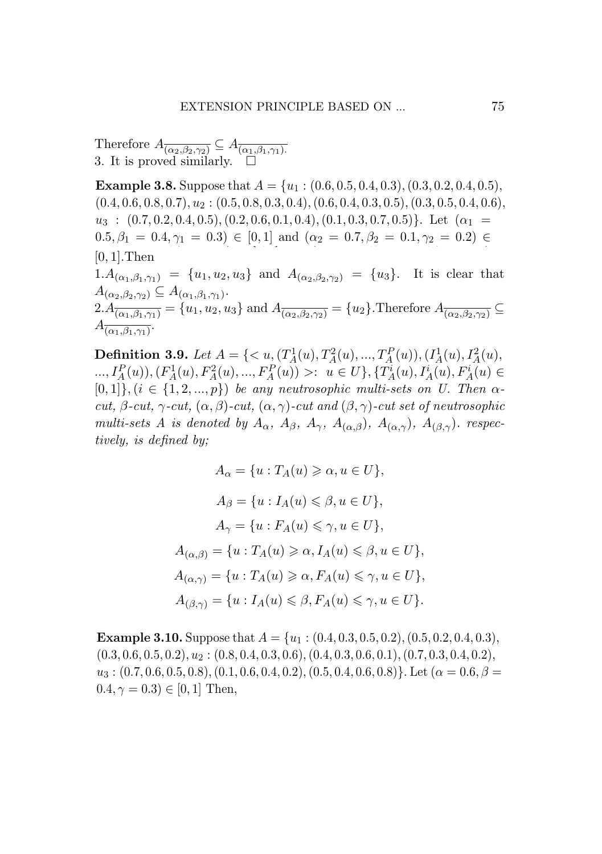Therefore  $A_{\overline{(\alpha_2,\beta_2,\gamma_2)}} \subseteq A_{\overline{(\alpha_1,\beta_1,\gamma_1)}}$ . 3. It is proved similarly.  $\square$ Therefore  $A_{\overline{(\alpha_2,\beta_2,\gamma_2)}} \subseteq A_{\overline{(\alpha_1,\beta_1,\gamma_1)}}$ 3. It is proved similarly.  $\square$ 3. It is proved similarly.

**Example 3.8.** Suppose that  $A = \{u_1 : (0.6, 0.5, 0.4, 0.3), (0.3, 0.2, 0.4, 0.5), (0.4, 0.6, 0.8, 0.5), (0.3, 0.2, 0.4, 0.6)\}$  $(0.4, 0.6, 0.8, 0.7), u_2 : (0.5, 0.8, 0.3, 0.4), (0.6, 0.4, 0.3, 0.5), (0.3, 0.5, 0.4, 0.6),$  $u_3: (0.7, 0.2, 0.4, 0.5), (0.2, 0.6, 0.1, 0.4), (0.1, 0.3, 0.7, 0.5)$ . Let  $(a_1 = 0.5, 0.4, 0.5, 0.5, 0.5, 0.5, 0.5, 0.5)$ .  $(0.5, \beta_1 = 0.4, \gamma_1 = 0.3) \in [0, 1]$  and  $(\alpha_2 = 0.7, \beta_2 = 0.1, \gamma_2 = 0.2) \in$ [0*,* 1].Then [0*,* 1].Then [0*,* 1].Then  $1.A_{(\alpha_1,\beta_1,\gamma_1)} = \{u_1,u_2,u_3\}$  and  $A_{(\alpha_2,\beta_2,\gamma_2)} = \{u_3\}.$  It is clear that  $A_{(\alpha_2,\beta_2,\gamma_2)} \subseteq A_{(\alpha_1,\beta_1,\gamma_1)}$ .  $2.A_{\overline{(\alpha_1, \beta_1, \gamma_1)}} = \{u_1, u_2, u_3\}$  and  $A_{\overline{(\alpha_2, \beta_2, \gamma_2)}} = \{u_2\}$ . Therefore  $A_{\overline{(\alpha_2, \beta_2, \gamma_2)}} \subseteq$  $A_{(\alpha_1,\beta_1,\gamma_1)}$ .  $A_{(\alpha_2,\beta_2,\gamma_2)} \subseteq A_{(\alpha_1,\beta_1,\gamma_1)}$  $2.A_{\overline{(\alpha_1,\beta_1,\gamma_1)}} = \{u_1,u_2,u_3\}$  and  $A_{\overline{(\alpha_2,\beta_2,\gamma_2)}} = \{u_2\}$ . Therefore  $A_{\overline{(\alpha_2,\beta_2,\gamma_2)}}$  $(0, 1]$  Then  $[0, 1]$  Then 1.*A*<sub>( $\alpha_1, \beta_1, \gamma_1$ ) = *{u*<sub>1</sub>*, u*<sub>2</sub>*, u*<sub>3</sub>*}* and *A*<sub>( $\alpha_2, \beta_2, \gamma_2$ ) = *{u*<sub>3</sub>*}*. It is clear</sub></sub>  $\begin{array}{l} \mathcal{A}(\alpha_2,\beta_2,\gamma_2) \cong \mathcal{A}(\alpha_1,\beta_1,\gamma_1),\ \mathcal{A}(\alpha_2,\beta_2,\gamma_2) \cong \mathcal{A}(\alpha_1,\beta_1,\gamma_1). \end{array}$  $\frac{d^2 A}{d^2}(\alpha_1, \beta_1, \gamma_1) = \{u_1, u_2, u_3\}$  and  $A^2(\alpha_2, \beta_2, \gamma_2) = \{u_2\}$ . Therefore  $A^2(\alpha_2, \beta_2, \gamma_1)$ 

**Definition 3.9.** Let  $A = \{ \langle u, (T_A^1(u), T_A^2(u), ..., T_A^P(u)), (I_A^1(u), I_A^2(u), \rangle\}$ ...,  $I_A^P(u)$ ,  $(F_A^1(u), F_A^2(u), ..., F_A^P(u)) >: u \in U$ ,  $\{T_A^i(u), T_A^i(u), F_A^i(u) \in$  $[0,1]$ ,  $(i \in \{1,2,...,p\})$  be any neutrosophic multi-sets on U. Then  $\alpha$ -<br>gut  $\beta$  gut  $\alpha$  gut  $(\alpha, \beta)$  gut  $(\alpha, \alpha)$  gut and  $(\beta, \alpha)$  gut act of neutrogorhic cut,  $\beta$ -cut,  $\gamma$ -cut,  $(\alpha, \beta)$ -cut,  $(\alpha, \gamma)$ -cut and  $(\beta, \gamma)$ -cut set of neutrosophic multi-sets A is denoted by  $A_{\alpha}$ ,  $A_{\beta}$ ,  $A_{\gamma}$ ,  $A_{(\alpha,\beta)}$ ,  $A_{(\alpha,\gamma)}$ ,  $A_{(\beta,\gamma)}$ . respectively *tively, is defined by; tively, is defined by; tively, is defined by;* **Definition 3.9.** Let  $A = \{ \langle u, (T_A^1(u), T_A^2(u), ..., T_A^P(u)), (I_A^1(u), I_A^2(u)) \rangle \}$ **Definition 3.9.** Let  $A = \{ \langle u, (T_A(u), T_A(u), ..., T_A(u)), (T_A(u), T_A(u)) \rangle \}$ <br>
...,  $I_A^P(u)$ ,  $(F_A^1(u), F_A^2(u), ..., F_A^P(u)) >: u \in U \}$ ,  $\{T_A^i(u), T_A^i(u), F_A^i(u) \}$  $(L_1, L_1(u)), (F_A(u), F_A(u), ..., F_A(u)) >: u \in U, \{T_A(u), T_A(u), F_A(u)\}$ 

$$
A_{\alpha} = \{u : T_A(u) \ge \alpha, u \in U\},
$$
  
\n
$$
A_{\beta} = \{u : I_A(u) \le \beta, u \in U\},
$$
  
\n
$$
A_{\gamma} = \{u : F_A(u) \le \gamma, u \in U\},
$$
  
\n
$$
A_{(\alpha,\beta)} = \{u : T_A(u) \ge \alpha, I_A(u) \le \beta, u \in U\},
$$
  
\n
$$
A_{(\alpha,\gamma)} = \{u : T_A(u) \ge \alpha, F_A(u) \le \gamma, u \in U\},
$$
  
\n
$$
A_{(\beta,\gamma)} = \{u : I_A(u) \le \beta, F_A(u) \le \gamma, u \in U\}.
$$

**Example 3.10.** Suppose that  $A = \{u_1 : (0.4, 0.3, 0.5, 0.2), (0.5, 0.2, 0.4, 0.3),\}$  $(0.3, 0.6, 0.5, 0.2), u_2: (0.8, 0.4, 0.3, 0.6), (0.4, 0.3, 0.6, 0.1), (0.7, 0.3, 0.4, 0.2),$  $u_3$ : (0.7, 0.6, 0.5, 0.8), (0.1, 0.6, 0.4, 0.2), (0.5, 0.4, 0.6, 0.8)}. Let ( $\alpha = 0.6$ ,  $\beta =$  $0.4, \gamma = 0.3$ )  $\in [0, 1]$  Then,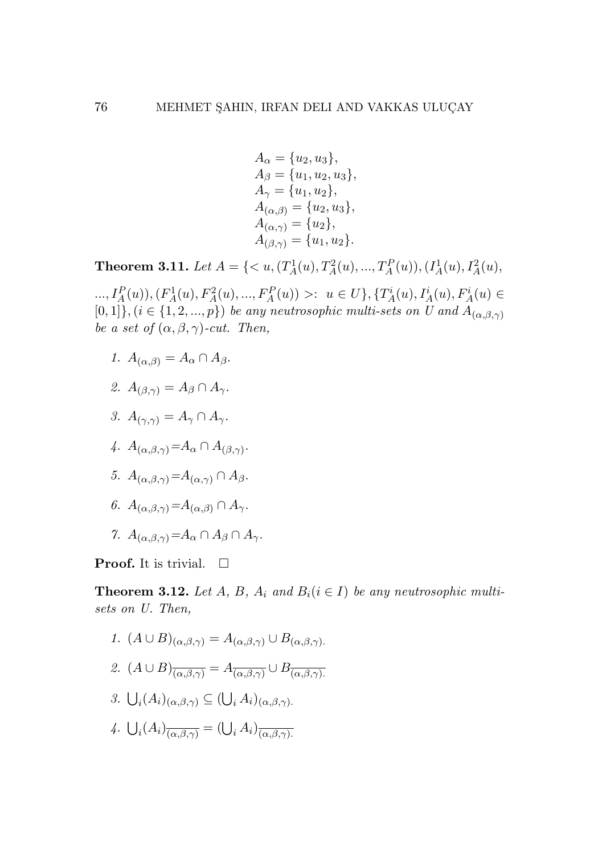$$
A_{\alpha} = \{u_2, u_3\},
$$
  
\n
$$
A_{\beta} = \{u_1, u_2, u_3\},
$$
  
\n
$$
A_{\gamma} = \{u_1, u_2\},
$$
  
\n
$$
A_{(\alpha,\beta)} = \{u_2, u_3\},
$$
  
\n
$$
A_{(\alpha,\gamma)} = \{u_2\},
$$
  
\n
$$
A_{(\beta,\gamma)} = \{u_1, u_2\}.
$$

**Theorem 3.11.** Let  $A = \{ \langle u, (T_A^1(u), T_A^2(u), ..., T_A^P(u)), (I_A^1(u), I_A^2(u),$ 

...,  $I_A^P(u)$ ,  $(F_A^1(u), F_A^2(u), ..., F_A^P(u)) >: u \in U$ ,  $\{T_A^i(u), T_A^i(u), F_A^i(u) \in$  $[0,1]$ <sup>*}*</sup>,  $(i \in \{1,2,...,p\})$  *be any neutrosophic multi-sets on U and*  $A_{(\alpha,\beta,\gamma)}$ *be a set of*  $(\alpha, \beta, \gamma)$ *-cut. Then,* 

- *1.*  $A_{(\alpha,\beta)} = A_{\alpha} \cap A_{\beta}$ .
- 2.  $A_{(\beta,\gamma)} = A_{\beta} \cap A_{\gamma}$ .
- *3.*  $A_{(\gamma,\gamma)} = A_{\gamma} \cap A_{\gamma}$ .
- $\mathcal{A}$ *.*  $A_{(\alpha,\beta,\gamma)} = A_{\alpha} \cap A_{(\beta,\gamma)}$ .
- *5. A*<sub>(*α,β,γ*)</sub> =*A*<sub>(*α,γ*)</sub> ∩ *A<sub>β</sub>*.
- *6. A*(*α,β,γ*)*=A*(*α,β*) *∩ Aγ.*
- *7.*  $A_{(\alpha,\beta,\gamma)}=A_{\alpha}\cap A_{\beta}\cap A_{\gamma}$ .

**Proof.** It is trivial.  $\Box$ 

**Theorem 3.12.** Let  $A$ ,  $B$ ,  $A$ <sub>*i*</sub> and  $B$ <sub>*i*</sub>( $i \in I$ ) *be any neutrosophic multisets on U. Then,*

1. 
$$
(A \cup B)_{(\alpha,\beta,\gamma)} = A_{(\alpha,\beta,\gamma)} \cup B_{(\alpha,\beta,\gamma)}
$$
.  
\n2.  $(A \cup B)_{\overline{(\alpha,\beta,\gamma)}} = A_{\overline{(\alpha,\beta,\gamma)}} \cup B_{\overline{(\alpha,\beta,\gamma)}}$ .  
\n3.  $\bigcup_i (A_i)_{(\alpha,\beta,\gamma)} \subseteq (\bigcup_i A_i)_{(\alpha,\beta,\gamma)}$ .  
\n4.  $\bigcup_i (A_i)_{\overline{(\alpha,\beta,\gamma)}} = (\bigcup_i A_i)_{\overline{(\alpha,\beta,\gamma)}}$ .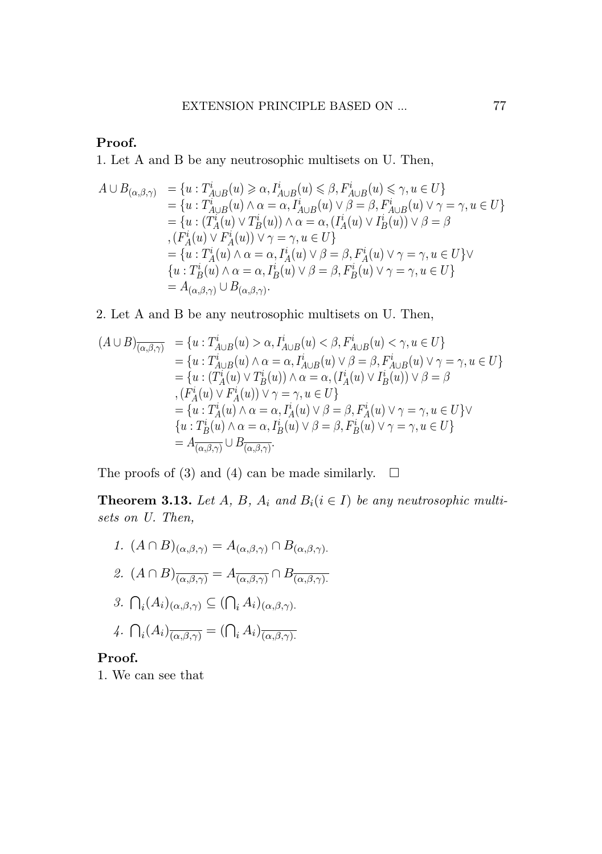#### Proof. **1. Let A and B be any neutrosof.**

1. Let A and B be any neutrosophic multisets on U. Then, 1. Let A and B be any neutrosophic multisets on U. Then, 1. Let A and B be any neutrosophic multisets on U. Then, *<sup>A</sup> <sup>∪</sup> <sup>B</sup>*(*α,β,γ*) <sup>=</sup> *{<sup>u</sup>* : *<sup>T</sup><sup>i</sup> <sup>A</sup> <sup>∪</sup> <sup>B</sup>*(*α,β,γ*) <sup>=</sup> *{<sup>u</sup>* : *<sup>T</sup><sup>i</sup> <sup>A</sup>∪B*(*u*) *α, I<sup>i</sup> <sup>A</sup>∪B*(*u*) *β, F<sup>i</sup>*

$$
A \cup B_{(\alpha,\beta,\gamma)} = \{u : T_{A \cup B}^i(u) \geq \alpha, I_{A \cup B}^i(u) \leq \beta, F_{A \cup B}^i(u) \leq \gamma, u \in U\}
$$
  
\n
$$
= \{u : T_{A \cup B}^i(u) \wedge \alpha = \alpha, I_{A \cup B}^i(u) \vee \beta = \beta, F_{A \cup B}^i(u) \vee \gamma = \gamma, u \in U\}
$$
  
\n
$$
= \{u : (T_A^i(u) \vee T_B^i(u)) \wedge \alpha = \alpha, (I_A^i(u) \vee I_B^i(u)) \vee \beta = \beta
$$
  
\n
$$
, (F_A^i(u) \vee F_A^i(u)) \vee \gamma = \gamma, u \in U\}
$$
  
\n
$$
= \{u : T_A^i(u) \wedge \alpha = \alpha, I_A^i(u) \vee \beta = \beta, F_A^i(u) \vee \gamma = \gamma, u \in U\} \vee
$$
  
\n
$$
\{u : T_B^i(u) \wedge \alpha = \alpha, I_B^i(u) \vee \beta = \beta, F_B^i(u) \vee \gamma = \gamma, u \in U\}
$$
  
\n
$$
= A_{(\alpha,\beta,\gamma)} \cup B_{(\alpha,\beta,\gamma)}.
$$

#### 2. Let A and B be any neutrosophic multisets on U. Then, 2. Let A and B be any neutrosophic multisets on U. Then, 2. Let A and B be any neutrosophic multisets on U. Then,

$$
extremsION PRINCIPLE BASED ON ... 77
$$
\nProof.\n1. Let A and B be any neutrosophic multisets on U. Then,\n
$$
A \cup B_{(\alpha,\beta,\gamma)} = \{u : T_{A \cup B}^i(u) \ge \alpha, I_{A \cup B}^i(u) \le \beta, F_{A \cup B}^i(u) \le \gamma, u \in U\}
$$
\n
$$
= \{u : T_{A \cup B}^i(u) \land \alpha = \alpha, I_{A \cup B}^i(u) \lor \beta = \beta, F_{A \cup B}^i(u) \lor \gamma = \gamma, u \in U\}
$$
\n
$$
= \{u : (T_A^i(u) \lor T_B^i(u)) \land \alpha = \alpha, (I_A^i(u) \lor I_B^i(u)) \lor \beta = \beta, F_{A \cup B}^i(u) \lor \gamma = \gamma, u \in U\}
$$
\n
$$
= \{F_A^i(u) \lor F_A^i(u)) \lor \gamma = \gamma, u \in U\}
$$
\n
$$
= \{u : T_A^i(u) \land \alpha = \alpha, I_B^i(u) \lor \beta = \beta, F_B^i(u) \lor \gamma = \gamma, u \in U\}
$$
\n
$$
= \{u : T_B^i(u) \land \alpha = \alpha, I_B^i(u) \lor \beta = \beta, F_B^i(u) \lor \gamma = \gamma, u \in U\}
$$
\n2. Let A and B be any neutroscopic multisets on U. Then,\n
$$
(A \cup B)_{\overline{(\alpha,\beta,\gamma)}} = \{u : T_{A \cup B}^i(u) > \alpha, I_{A \cup B}^i(u) < \beta, F_{A \cup B}^i(u) \lor \gamma = \gamma, u \in U\}
$$
\n2. Let A and B be any neutroscopic multisets on U. Then,\n
$$
(A \cup B)_{\overline{(\alpha,\beta,\gamma)}} = \{u : T_{A \cup B}^i(u) > \alpha, I_{A \cup B}^i(u) \lor \beta = \beta, F_{A \cup B}^i(u) \lor \gamma = \gamma, u \in U\}
$$
\n
$$
= \{u : (T_A^i(u) \lor T_B^i(u)) \land \alpha = \alpha, [I_A^i(u) \lor I_B^i(u)] \lor \beta = \beta, F_{A \cup B}^i(u) \lor \gamma = \gamma, u \in U\}
$$
\n<math display="</math>

= *A*(*α,β,γ*) *∪ B*(*α,β,γ*) = *A*(*α,β,γ*) *∪ B*(*α,β,γ*) The proofs of  $(3)$  and  $(4)$  can be made simil The proofs of (3) and (4) can be made similarly.  $\Box$ 

The proof (4) can be made similar proof (3) and  $\sum_{i=1}^{n}$  can be made similar to  $\sum_{i=1}^{n}$ sets on U. Then, **Theorem 3.13.** Let  $A$ ,  $B$ ,  $A_i$  and  $B_i$  ( $i \in I$ ) be any neutrosophic multi- $T$  and  $T$  (4) can be made similar to  $T$ **Theorem 3.13.** Let  $A$ ,  $B$ ,  $A$ <sub>*i*</sub> and  $B$ <sub>*i*</sub>( $i \in I$ ) be any neutrosophic multi-

- *sets on U. Then, sets on U. Then, 1.*  $(A ∩ B)_{(α, β, γ)} = A_{(α, β, γ)} ∩ B$ *f*.  $(A \cap B)_{(\alpha,\beta,\gamma)} = A_{(\alpha,\beta,\gamma)} \cap B_{(\alpha,\beta,\gamma)}$ .<br>*a*  $(A \cap B)$  –  $A \cap B$ *1.*  $(A \cap B)_{(\alpha,\beta,\gamma)} = A_{(\alpha,\beta,\gamma)} \cap B_{(\alpha,\beta,\gamma)}$ .
	- $(4 \cap R)$   $4$   $2R$ 2.  $(A \cap B)_{\overline{(\alpha,\beta,\gamma)}} = A_{\overline{(\alpha,\beta,\gamma)}} \cap B_{\overline{(\alpha,\beta,\gamma)}}$
	- 3.  $\bigcap_i (A_i)_{(\alpha,\beta,\gamma)} \subseteq (\bigcap_i A_i)_{(\alpha,\beta,\gamma)}$ . *2.*  $\bigcap_i (A_i)_{(\alpha,\beta,\gamma)} \subseteq (\bigcap_i A_i)_{(\alpha,\beta,\gamma)}$ .
	- 4.  $\bigcap_i (A_i)_{\overline{(\alpha,\beta,\gamma)}} = (\bigcap_i A_i)_{\overline{(\alpha,\beta,\gamma)}}$ *4. 4. <sup>i</sup>*(*Ai*)(*α,β,γ*) = ( *<sup>i</sup> Ai*)(*α,β,γ*)*. i*(*a*,*g*,*γ*) = (*a*),*e*,*γ*) = (*a*)  $\mathcal{A}$ *.*  $\bigcap_i (A_i)_{\overline{(\alpha,\beta,\gamma)}} = (\bigcap_i A_i)_{\overline{(\alpha,\beta,\gamma)}}$ .  $(a, \beta, \gamma)$ *<sup>i</sup> Ai*)(*α,β,γ*)*.*

#### Proo Proof.

1. We can see that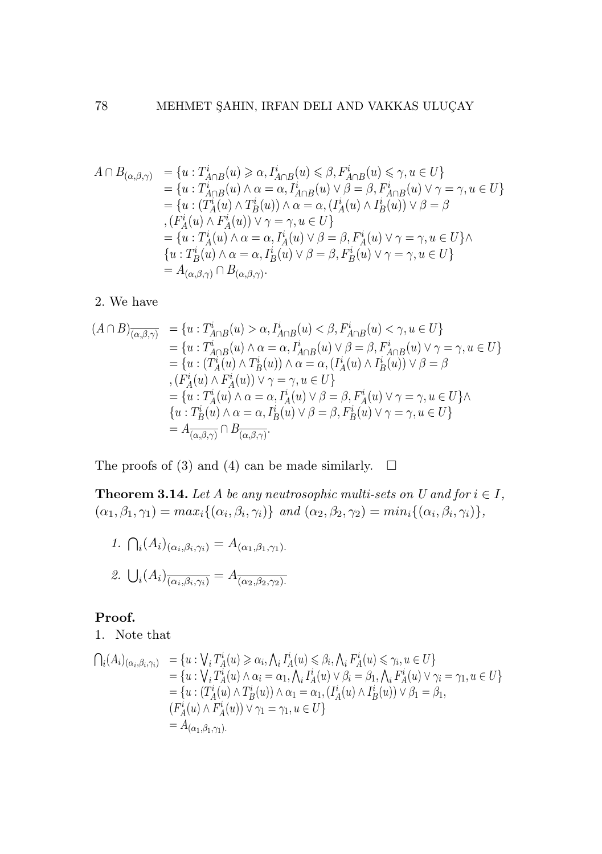$$
A \cap B_{(\alpha,\beta,\gamma)} = \{u : T_{A \cap B}^i(u) \geq \alpha, I_{A \cap B}^i(u) \leq \beta, F_{A \cap B}^i(u) \leq \gamma, u \in U\} = \{u : T_{A \cap B}^i(u) \wedge \alpha = \alpha, I_{A \cap B}^i(u) \vee \beta = \beta, F_{A \cap B}^i(u) \vee \gamma = \gamma, u \in U\} = \{u : (T_A^i(u) \wedge T_B^i(u)) \wedge \alpha = \alpha, (I_A^i(u) \wedge I_B^i(u)) \vee \beta = \beta , (F_A^i(u) \wedge F_A^i(u)) \vee \gamma = \gamma, u \in U\} = \{u : T_A^i(u) \wedge \alpha = \alpha, I_A^i(u) \vee \beta = \beta, F_A^i(u) \vee \gamma = \gamma, u \in U\} \wedge = u : T_B^i(u) \wedge \alpha = \alpha, I_B^i(u) \vee \beta = \beta, F_B^i(u) \vee \gamma = \gamma, u \in U\} = A_{(\alpha,\beta,\gamma)} \cap B_{(\alpha,\beta,\gamma)}.
$$

### 2. We have 2. We have 2. We have 2. We have

$$
(A \cap B)_{\overline{(\alpha,\beta,\gamma)}} = \{u : T_{A \cap B}^i(u) > \alpha, I_{A \cap B}^i(u) < \beta, F_{A \cap B}^i(u) < \gamma, u \in U\}
$$
  
\n
$$
= \{u : T_{A \cap B}^i(u) \land \alpha = \alpha, I_{A \cap B}^i(u) \lor \beta = \beta, F_{A \cap B}^i(u) \lor \gamma = \gamma, u \in U\}
$$
  
\n
$$
= \{u : (T_A^i(u) \land T_B^i(u)) \land \alpha = \alpha, (I_A^i(u) \land I_B^i(u)) \lor \beta = \beta
$$
  
\n
$$
, (F_A^i(u) \land F_A^i(u)) \lor \gamma = \gamma, u \in U\}
$$
  
\n
$$
= \{u : T_A^i(u) \land \alpha = \alpha, I_A^i(u) \lor \beta = \beta, F_A^i(u) \lor \gamma = \gamma, u \in U\}
$$
  
\n
$$
\{u : T_B^i(u) \land \alpha = \alpha, I_B^i(u) \lor \beta = \beta, F_B^i(u) \lor \gamma = \gamma, u \in U\}
$$
  
\n
$$
= A_{\overline{(\alpha,\beta,\gamma)}} \cap B_{\overline{(\alpha,\beta,\gamma)}}.
$$

The proofs of (3) and (4) can be made similarly.  $\Box$ 

**Theorem 3.14.** Let A be any neutrosophic multi-sets on U and for  $i \in I$ ,  $(\alpha_1, \beta_1, \gamma_1) = max_i \{(\alpha_i, \beta_i, \gamma_i)\}$  and  $(\alpha_2, \beta_2, \gamma_2) = min_i \{(\alpha_i, \beta_i, \gamma_i)\},$ 

1. 
$$
\bigcap_i (A_i)_{(\alpha_i, \beta_i, \gamma_i)} = A_{(\alpha_1, \beta_1, \gamma_1)}.
$$
  
2. 
$$
\bigcup_i (A_i)_{\overline{(\alpha_i, \beta_i, \gamma_i)}} = A_{\overline{(\alpha_2, \beta_2, \gamma_2)}}.
$$

### Proof. Proof. Proof. Proof.

1. Note that 1. Note that 1. Note that 1. Note that

$$
\begin{array}{ll}\n\bigcap_i (A_i)_{(\alpha_i, \beta_i, \gamma_i)} & = \{u : \bigvee_i T_A^i(u) \geq \alpha_i, \bigwedge_i I_A^i(u) \leq \beta_i, \bigwedge_i F_A^i(u) \leq \gamma_i, u \in U\} \\
& = \{u : \bigvee_i T_A^i(u) \land \alpha_i = \alpha_1, \bigwedge_i I_A^i(u) \lor \beta_i = \beta_1, \bigwedge_i F_A^i(u) \lor \gamma_i = \gamma_1, u \in U\} \\
& = \{u : (T_A^i(u) \land T_B^i(u)) \land \alpha_1 = \alpha_1, (I_A^i(u) \land I_B^i(u)) \lor \beta_1 = \beta_1, \\
&\quad (F_A^i(u) \land F_A^i(u)) \lor \gamma_1 = \gamma_1, u \in U\} \\
& = A_{(\alpha_1, \beta_1, \gamma_1)}.\n\end{array}
$$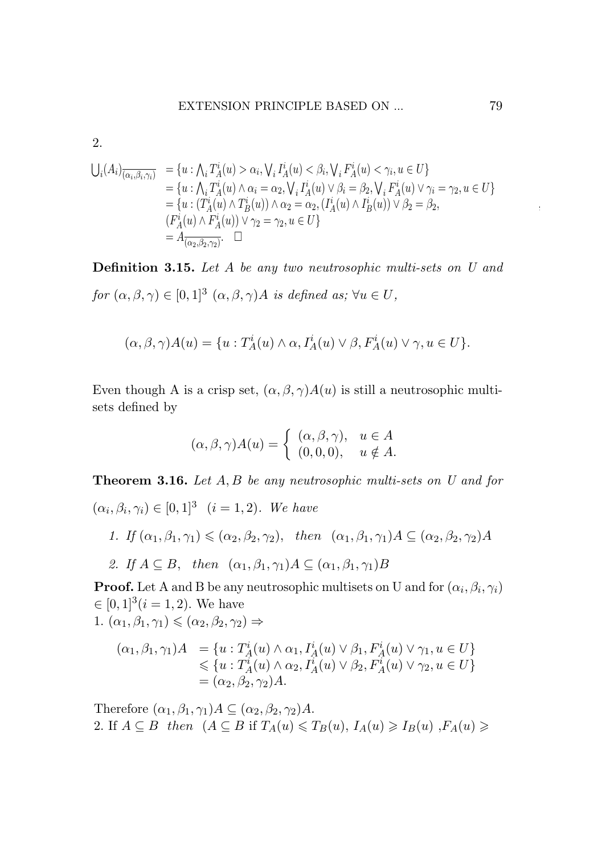2.

$$
U_i(A_i)_{\overline{(\alpha_i,\beta_i,\gamma_i)}} = \{u : \bigwedge_i T_A^i(u) > \alpha_i, \bigvee_i I_A^i(u) < \beta_i, \bigvee_i F_A^i(u) < \gamma_i, u \in U\}
$$
  
\n
$$
= \{u : \bigwedge_i T_A^i(u) \wedge \alpha_i = \alpha_2, \bigvee_i I_A^i(u) \vee \beta_i = \beta_2, \bigvee_i F_A^i(u) \vee \gamma_i = \gamma_2, u \in U\}
$$
  
\n
$$
= \{u : (T_A^i(u) \wedge T_B^i(u)) \wedge \alpha_2 = \alpha_2, (I_A^i(u) \wedge I_B^i(u)) \vee \beta_2 = \beta_2, (I_A^i(u) \wedge T_B^i(u)) \vee \beta_2 = \beta_2, (I_A^i(u) \wedge F_A^i(u)) \vee \gamma_2 = \gamma_2, u \in U\}
$$
  
\n
$$
= A_{\overline{(\alpha_2,\beta_2,\gamma_2)}} \square
$$

**Definition 3.15.** Let A be any two neutrosophic multi-sets on U and for  $(\alpha, \beta, \gamma) \in [0, 1]^3$   $(\alpha, \beta, \gamma)A$  is defined as;  $\forall u \in U$ ,

$$
(\alpha, \beta, \gamma)A(u) = \{u : T_A^i(u) \wedge \alpha, I_A^i(u) \vee \beta, F_A^i(u) \vee \gamma, u \in U\}.
$$

Even though A is a crisp set,  $(\alpha, \beta, \gamma)A(u)$  is still a neutrosophic multisets defined by

$$
(\alpha, \beta, \gamma)A(u) = \begin{cases} (\alpha, \beta, \gamma), & u \in A \\ (0, 0, 0), & u \notin A. \end{cases}
$$

**Theorem 3.16.** Let  $A, B$  be any neutrosophic multi-sets on U and for  $(\alpha_i, \beta_i, \gamma_i) \in [0, 1]^3$   $(i = 1, 2)$ . We have

- 1. If  $(\alpha_1, \beta_1, \gamma_1) \leq (\alpha_2, \beta_2, \gamma_2)$ , then  $(\alpha_1, \beta_1, \gamma_1)A \subseteq (\alpha_2, \beta_2, \gamma_2)A$
- 2. If  $A \subseteq B$ , then  $(\alpha_1, \beta_1, \gamma_1)A \subseteq (\alpha_1, \beta_1, \gamma_1)B$

**Proof.** Let A and B be any neutrosophic multisets on U and for  $(\alpha_i, \beta_i, \gamma_i)$  $\in [0,1]^3$  $(i = 1,2)$ . We have 1.  $(\alpha_1, \beta_1, \gamma_1) \leq (\alpha_2, \beta_2, \gamma_2) \Rightarrow$ 

$$
(\alpha_1, \beta_1, \gamma_1)A = \{u : T_A^i(u) \wedge \alpha_1, I_A^i(u) \vee \beta_1, F_A^i(u) \vee \gamma_1, u \in U\}
$$
  
\$\leq\$  $\{u : T_A^i(u) \wedge \alpha_2, I_A^i(u) \vee \beta_2, F_A^i(u) \vee \gamma_2, u \in U\}$   
=  $(\alpha_2, \beta_2, \gamma_2)A$ .

Therefore  $(\alpha_1, \beta_1, \gamma_1)A \subseteq (\alpha_2, \beta_2, \gamma_2)A$ . 2. If  $A \subseteq B$  then  $(A \subseteq B$  if  $T_A(u) \leq T_B(u)$ ,  $I_A(u) \geq I_B(u)$ ,  $F_A(u) \geq$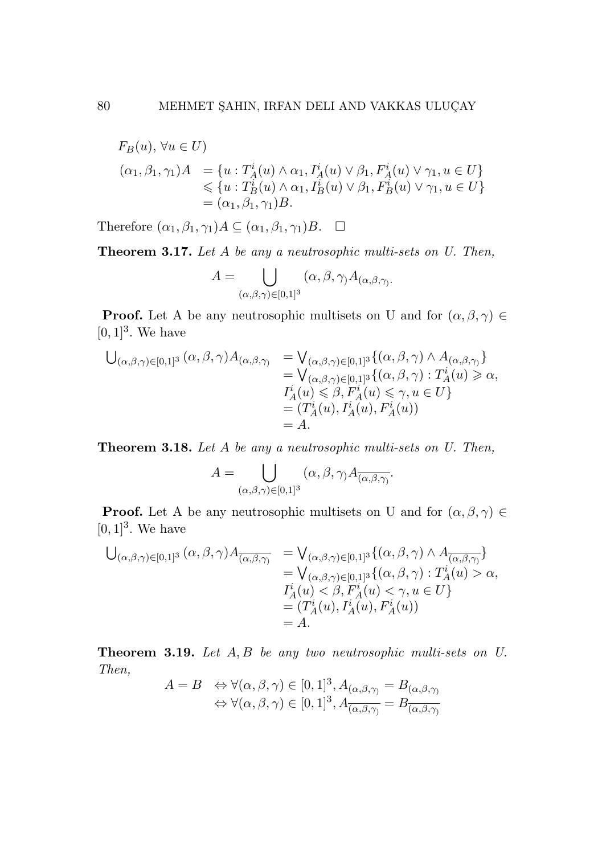$$
F_B(u), \forall u \in U)
$$
  
\n
$$
(\alpha_1, \beta_1, \gamma_1)A = \{u : T_A^i(u) \wedge \alpha_1, I_A^i(u) \vee \beta_1, F_A^i(u) \vee \gamma_1, u \in U\}
$$
  
\n
$$
\leq \{u : T_B^i(u) \wedge \alpha_1, I_B^i(u) \vee \beta_1, F_B^i(u) \vee \gamma_1, u \in U\}
$$
  
\n
$$
= (\alpha_1, \beta_1, \gamma_1)B.
$$

*x*<sub>1</sub>) *A* ⊂ (*α*<sub>1</sub> *β*<sub>1</sub>,  $\alpha$ <sub>*i*</sub>) *B* □ Therefore  $(\alpha_1, \beta_1, \gamma_1)A \subseteq (\alpha_1, \beta_1, \gamma_1)B$ .  $\Box$ Therefore  $(\alpha_1, \beta_1, \gamma_1) \neq \alpha_1, \beta_1, \gamma_1 \neq \beta$ .

**Theorem 3.11.** *Let A be any a neutrosopi* Theorem 3.17. *Let A be any a neutrosophic multi-sets on U. Then,* Theorem 3.17. *Let A be any a neutrosophic multi-sets on U. Then,*

$$
A=\bigcup_{(\alpha,\beta,\gamma)\in [0,1]^3} (\alpha,\beta,\gamma)A_{(\alpha,\beta,\gamma)}.
$$

(*α,β,γ*)*∈*[0*,*1]<sup>3</sup> **Proof.** Let A be any neutrosophic multisets on U and for  $(\alpha, \beta, \gamma) \in$  $(v, 1)$   $\cdot$  we nave  $[0, 1]^3$ . We have

$$
U_{(\alpha,\beta,\gamma)\in[0,1]^3}(\alpha,\beta,\gamma)A_{(\alpha,\beta,\gamma)} = V_{(\alpha,\beta,\gamma)\in[0,1]^3}\{(\alpha,\beta,\gamma) \wedge A_{(\alpha,\beta,\gamma)}\} = V_{(\alpha,\beta,\gamma)\in[0,1]^3}\{(\alpha,\beta,\gamma) : T_A^i(u) \ge \alpha,I_A^i(u) \le \beta, F_A^i(u) \le \gamma, u \in U\} = (T_A^i(u), I_A^i(u), F_A^i(u)) = A.
$$

= *A.* Theorem 3.18. *Let A be any a neutrosophic multi-sets on U. Then,* Theorem 3.18. *Let A be any a neutrosophic multi-sets on U. Then,*

$$
A = \bigcup_{(\alpha,\beta,\gamma) \in [0,1]^3} (\alpha,\beta,\gamma) A_{\overline{(\alpha,\beta,\gamma)}}.
$$

(*α,β,γ*)*∈*[0*,*1]<sup>3</sup> **Proof.** Let A be any neutrosophic multisets on U and for  $(\alpha, \beta, \gamma) \in$  $(v, 1)$   $\cdot$  we nave  $[0,1]^3$ . We have

$$
U_{(\alpha,\beta,\gamma)\in[0,1]^3}(\alpha,\beta,\gamma)A_{\overline{(\alpha,\beta,\gamma)}} = V_{(\alpha,\beta,\gamma)\in[0,1]^3}\{(\alpha,\beta,\gamma) \wedge A_{\overline{(\alpha,\beta,\gamma)}}\} = V_{(\alpha,\beta,\gamma)\in[0,1]^3}\{(\alpha,\beta,\gamma) : T^i_A(u) > \alpha,I^i_A(u) < \beta, F^i_A(u) < \gamma, u \in U\} = (T^i_A(u), I^i_A(u), F^i_A(u)) = A.
$$

= *A.* Theorem 3.19. *Let A, B be any two neutrosophic multi-sets on U.* Theorem 3.19. *Let A, B be any two neutrosophic multi-sets on U.* Theorem 3.19. *Let A, B be any two neutrosophic multi-sets on U. Then, Then,*

$$
\begin{array}{ll} A=B & \Leftrightarrow \forall (\alpha,\beta,\gamma)\in [0,1]^3, A_{(\alpha,\beta,\gamma)}=B_{(\alpha,\beta,\gamma)}\\ & \Leftrightarrow \forall (\alpha,\beta,\gamma)\in [0,1]^3, A_{\overline{(\alpha,\beta,\gamma)}}=B_{\overline{(\alpha,\beta,\gamma)}} \end{array}
$$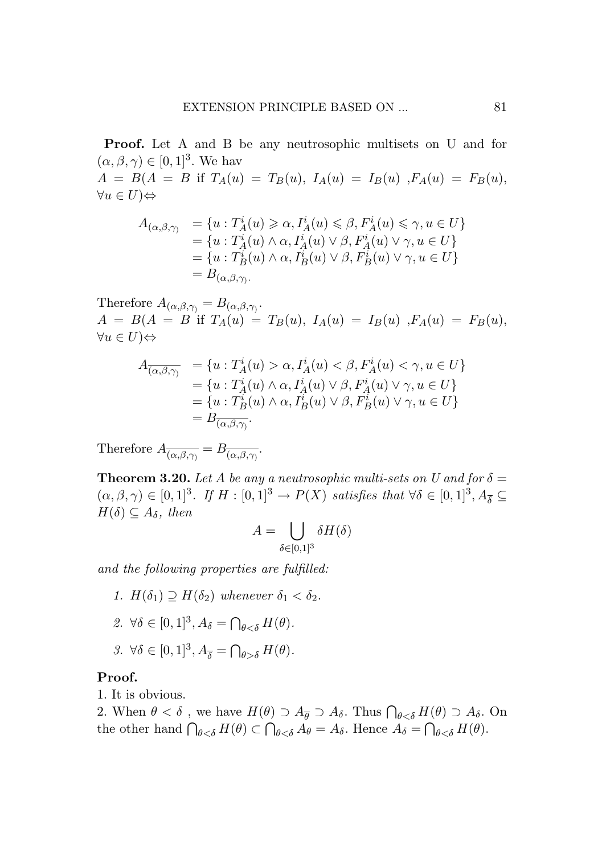Proof. Let A and B be any neutrosophic multisets on U and for  $(\alpha, \beta, \gamma) \in [0, 1]^3$ . We hav

 $A = B(A = B \text{ if } T_A(u) = T_B(u), I_A(u) = I_B(u), F_A(u) = F_B(u),$ *∀u ∈ U*)*⇔*

$$
A_{(\alpha,\beta,\gamma)} = \{u : T_A^i(u) \ge \alpha, I_A^i(u) \le \beta, F_A^i(u) \le \gamma, u \in U\}
$$
  
= 
$$
\{u : T_A^i(u) \wedge \alpha, I_A^i(u) \vee \beta, F_A^i(u) \vee \gamma, u \in U\}
$$
  
= 
$$
\{u : T_B^i(u) \wedge \alpha, I_B^i(u) \vee \beta, F_B^i(u) \vee \gamma, u \in U\}
$$
  
= 
$$
B_{(\alpha,\beta,\gamma)}.
$$

Therefore  $A_{(\alpha,\beta,\gamma)} = B_{(\alpha,\beta,\gamma)}$ .  $A = B(A = B$  if  $T_A(u) = T_B(u), I_A(u) = I_B(u), F_A(u) = F_B(u),$ *∀u ∈ U*)*⇔*

$$
A_{\overline{(\alpha,\beta,\gamma)}} = \{u : T_A^i(u) > \alpha, I_A^i(u) < \beta, F_A^i(u) < \gamma, u \in U\}
$$
  
= 
$$
\{u : T_A^i(u) \wedge \alpha, I_A^i(u) \vee \beta, F_A^i(u) \vee \gamma, u \in U\}
$$
  
= 
$$
\{u : T_B^i(u) \wedge \alpha, I_B^i(u) \vee \beta, F_B^i(u) \vee \gamma, u \in U\}
$$
  
= 
$$
B_{\overline{(\alpha,\beta,\gamma)}}.
$$

Therefore  $A_{\overline{(\alpha,\beta,\gamma)}} = B_{\overline{(\alpha,\beta,\gamma)}}$ .

**Theorem 3.20.** Let *A* be any a neutrosophic multi-sets on U and for  $\delta =$  $(\alpha, \beta, \gamma) \in [0, 1]^3$ *. If*  $H : [0, 1]^3 \rightarrow P(X)$  *satisfies that*  $\forall \delta \in [0, 1]^3$ ,  $A_{\overline{\delta}} \subseteq$ *H*(*δ*)  $\subseteq$  *A*<sub>*δ*</sub>*, then* 

$$
A=\bigcup_{\delta\in[0,1]^3}\delta H(\delta)
$$

*and the following properties are fulfilled:*

- *1.*  $H(\delta_1) \supseteq H(\delta_2)$  *whenever*  $\delta_1 < \delta_2$ *.*
- 2.  $\forall \delta \in [0, 1]^3, A_{\delta} = \bigcap_{\theta \leq \delta} H(\theta).$
- $3. \ \forall \delta \in [0, 1]^3, A_{\overline{\delta}} = \bigcap_{\theta > \delta} H(\theta).$

#### Proof.

1. It is obvious.

2. When  $\theta < \delta$ , we have  $H(\theta) \supset A_{\overline{\theta}} \supset A_{\delta}$ . Thus  $\bigcap_{\theta < \delta} H(\theta) \supset A_{\delta}$ . On the other hand  $\bigcap_{\theta < \delta} H(\theta) \subset \bigcap_{\theta < \delta} A_{\theta} = A_{\delta}$ . Hence  $A_{\delta} = \bigcap_{\theta < \delta} H(\theta)$ .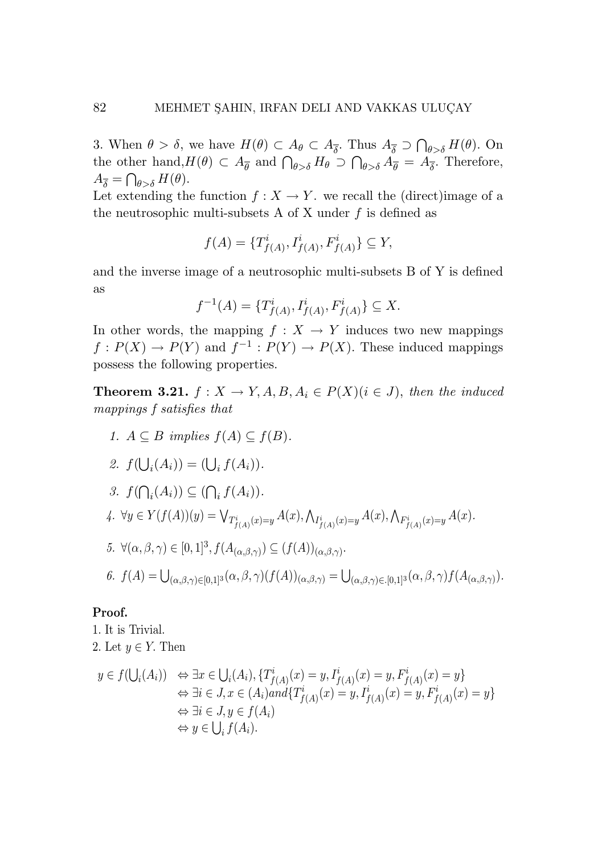3. When  $\theta > \delta$ , we have  $H(\theta) \subset A_{\theta} \subset A_{\overline{\delta}}$ . Thus  $A_{\overline{\delta}} \supset \bigcap_{\theta > \delta} H(\theta)$ . On the other hand,  $H(\theta) \subset A_{\overline{\theta}}$  and  $\bigcap_{\theta > \delta} H_{\theta} \supset \bigcap_{\theta > \delta} A_{\overline{\theta}} = A_{\overline{\delta}}$ . Therefore,  $A_{\overline{\delta}} = \bigcap_{\theta > \delta} H(\theta).$ 

Let extending the function  $f: X \to Y$ , we recall the (direct)image of a the neutrosophic multi-subsets A of X under  $f$  is defined as

$$
f(A) = \{T^i_{f(A)}, I^i_{f(A)}, F^i_{f(A)}\} \subseteq Y,
$$

and the inverse image of a neutrosophic multi-subsets B of Y is defined and the inverse image of a neutrosophic multi-subsets B of Y is defined as as

$$
f^{-1}(A) = \{T^i_{f(A)}, I^i_{f(A)}, F^i_{f(A)}\} \subseteq X.
$$

In other words, the mapping  $f: X \to Y$  induces two new mappings  $f: P(X) \to P(Y)$  and  $f^{-1}: P(Y) \to P(X)$ . These induced mappings possess the following properties. possess the following properties.

**Theorem 3.21.**  $f: X \to Y, A, B, A_i \in P(X)$  $(i \in J)$ , then the induced *mappings f satisfies that mappings f satisfies that*

*1.*  $A ⊆ B$  *implies*  $f(A) ⊆ f(B)$ *.* 

$$
\mathcal{Z}.\, f(\bigcup_i (A_i)) = (\bigcup_i f(A_i)).
$$

3. 
$$
f(\bigcap_i (A_i)) \subseteq (\bigcap_i f(A_i)).
$$
  
\n4.  $\forall y \in Y(f(A))(y) = \bigvee_{T^i_{f(A)}(x) = y} A(x), \bigwedge_{T^i_{f(A)}(x) = y} A(x), \bigwedge_{F^i_{f(A)}(x) = y} A(x).$   
\n5.  $\forall (\alpha, \beta, \gamma) \in [0, 1]^3, f(A_{(\alpha, \beta, \gamma)}) \subseteq (f(A))_{(\alpha, \beta, \gamma)}.$ 

$$
\text{6. } f(A) = \bigcup_{(\alpha,\beta,\gamma)\in [0,1]^3} (\alpha,\beta,\gamma) (f(A))_{(\alpha,\beta,\gamma)} = \bigcup_{(\alpha,\beta,\gamma)\in [0,1]^3} (\alpha,\beta,\gamma) f(A_{(\alpha,\beta,\gamma)}).
$$

## Proof. Proof.

1. It is Trivial. 1. It is Trivial. 2. Let *y ∈ Y.* Then 2. Let *y ∈ Y.* Then

$$
y \in f(\bigcup_i (A_i)) \iff \exists x \in \bigcup_i (A_i), \{T^i_{f(A)}(x) = y, I^i_{f(A)}(x) = y, F^i_{f(A)}(x) = y\} \iff \exists i \in J, x \in (A_i) \text{ and } \{T^i_{f(A)}(x) = y, I^i_{f(A)}(x) = y, F^i_{f(A)}(x) = y\} \iff \exists i \in J, y \in f(A_i) \iff y \in \bigcup_i f(A_i).
$$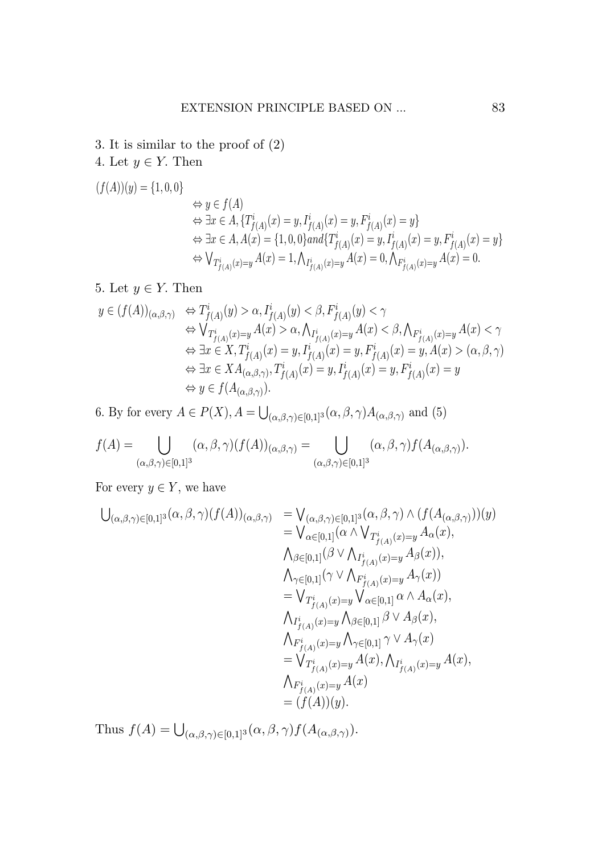- 3. It is similar to the proof of (2) 3. It is similar to the proof of (2) 3. It is similar to the proof of (2) 3. It is similar to the proof of (2)
- 4. Let *y ∈ Y.* Then 4. Let *y ∈ Y.* Then 4. Let *y ∈ Y.* Then 4. Let *y ∈ Y.* Then

$$
\begin{aligned} (f(A))(y) &= \{1,0,0\} \\ &\Leftrightarrow y \in f(A) \\ &\Leftrightarrow \exists x \in A, \{T^i_{f(A)}(x) = y, I^i_{f(A)}(x) = y, F^i_{f(A)}(x) = y\} \\ &\Leftrightarrow \exists x \in A, A(x) = \{1,0,0\} and \{T^i_{f(A)}(x) = y, I^i_{f(A)}(x) = y, F^i_{f(A)}(x) = y\} \\ &\Leftrightarrow \bigvee_{T^i_{f(A)}(x) = y} A(x) = 1, \bigwedge_{I^i_{f(A)}(x) = y} A(x) = 0, \bigwedge_{F^i_{f(A)}(x) = y} A(x) = 0. \end{aligned}
$$

5. Let  $y \in Y$ . Then

$$
\begin{array}{ll}y\in (f(A))_{(\alpha,\beta,\gamma)}&\Leftrightarrow T^i_{f(A)}(y)>\alpha, I^i_{f(A)}(y)<\beta, F^i_{f(A)}(y)<\gamma\\&\Leftrightarrow \bigvee_{T^i_{f(A)}(x)=y}A(x)>\alpha, \bigwedge_{I^i_{f(A)}(x)=y}A(x)<\beta, \bigwedge_{F^i_{f(A)}(x)=y}A(x)<\gamma\\&\Leftrightarrow \exists x\in X, T^i_{f(A)}(x)=y, I^i_{f(A)}(x)=y, F^i_{f(A)}(x)=y, A(x)>(\alpha,\beta,\gamma)\\&\Leftrightarrow \exists x\in X A_{(\alpha,\beta,\gamma)}, T^i_{f(A)}(x)=y, I^i_{f(A)}(x)=y, F^i_{f(A)}(x)=y\\&\Leftrightarrow y\in f(A_{(\alpha,\beta,\gamma)}).\end{array}
$$

6. By for every  $A \in P(X)$ ,  $A = \bigcup_{(\alpha,\beta,\gamma) \in [0,1]^3} (\alpha,\beta,\gamma) A_{(\alpha,\beta,\gamma)}$  and (5)

$$
f(A) = \bigcup_{(\alpha,\beta,\gamma)\in[0,1]^3} (\alpha,\beta,\gamma)(f(A))_{(\alpha,\beta,\gamma)} = \bigcup_{(\alpha,\beta,\gamma)\in[0,1]^3} (\alpha,\beta,\gamma)f(A_{(\alpha,\beta,\gamma)}).
$$

For every  $y \in Y$ , we have

$$
\begin{array}{ll} \bigcup_{(\alpha,\beta,\gamma)\in[0,1]^3}(\alpha,\beta,\gamma)(f(A))_{(\alpha,\beta,\gamma)}&=\bigvee_{(\alpha,\beta,\gamma)\in[0,1]^3}(\alpha,\beta,\gamma)\wedge(f(A_{(\alpha,\beta,\gamma)}))(y)\\&=\bigvee_{\alpha\in[0,1]}(\alpha\wedge\bigvee_{T^i_{f(A)}(x)=y}A_{\alpha}(x),\\ \bigwedge_{\beta\in[0,1]}(\beta\vee\bigwedge_{I^i_{f(A)}(x)=y}A_{\beta}(x)),\\ \bigwedge_{\gamma\in[0,1]}(\gamma\vee\bigwedge_{F^i_{f(A)}(x)=y}A_{\gamma}(x))\\&=\bigvee_{T^i_{f(A)}(x)=y}\bigvee_{\alpha\in[0,1]}(\alpha\wedge A_{\alpha}(x),\\ \bigwedge_{I^i_{f(A)}(x)=y}\bigwedge_{\beta\in[0,1]} \beta\vee A_{\beta}(x),\\ \bigwedge_{F^i_{f(A)}(x)=y}\bigwedge_{\gamma\in[0,1]} \gamma\vee A_{\gamma}(x)\\&=\bigvee_{T^i_{f(A)}(x)=y}A(x),\bigwedge_{I^i_{f(A)}(x)=y}A(x),\\ \bigwedge_{F^i_{f(A)}(x)=y}A(x)\\&=(f(A))(y).\end{array}
$$

Thus  $f(A) = \bigcup_{(\alpha,\beta,\gamma)\in [0,1]^3} (\alpha,\beta,\gamma) f(A_{(\alpha,\beta,\gamma)}).$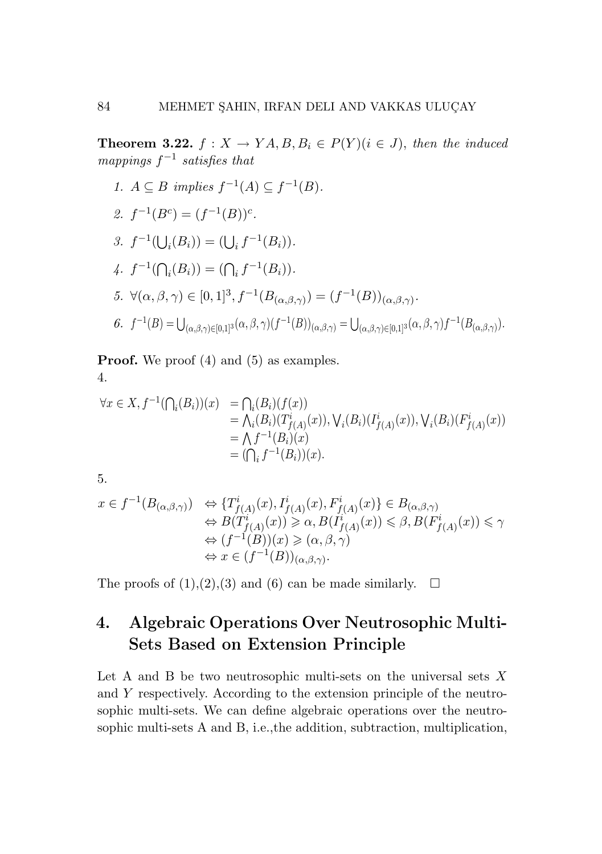**Theorem 3.22.**  $f: X \to YA, B, B_i \in P(Y)$  ( $i \in J$ ), then the induced mappings  $f^{-1}$  satisfies that

1.  $A \subseteq B$  implies  $f^{-1}(A) \subseteq f^{-1}(B)$ . 2.  $f^{-1}(B^c) = (f^{-1}(B))^c$ . 3.  $f^{-1}(\bigcup_i (B_i)) = (\bigcup_i f^{-1}(B_i)).$ 3.  $f^{-1}(\bigcup_i (B_i)) = (\bigcup_i f^{-1}(B_i)).$ <br>4.  $f^{-1}(\bigcap_i (B_i)) = (\bigcap_i f^{-1}(B_i)).$ 5.  $\forall (\alpha, \beta, \gamma) \in [0, 1]^3, f^{-1}(B_{(\alpha, \beta, \gamma)}) = (f^{-1}(B))_{(\alpha, \beta, \gamma)}.$  $\textit{6. } f^{-1}(B)=\bigcup_{(\alpha,\beta,\gamma)\in [0,1]^3} (\alpha,\beta,\gamma)(f^{-1}(B))_{(\alpha,\beta,\gamma)}=\bigcup_{(\alpha,\beta,\gamma)\in [0,1]^3} (\alpha,\beta,\gamma)f^{-1}(B_{(\alpha,\beta,\gamma)}).$ 

Proof. We proof (4) and (5) as examples. Proof.We proof (4) and (5) as examples. Proof. We proof (4) and (5) as examples. Proof. We proof (4) and (5) as examples. Proof. We proof (4) and (5) as examples. 4. 4. 4. 4. 4.

$$
\forall x \in X, f^{-1}(\bigcap_i (B_i))(x) = \bigcap_i (B_i)(f(x))
$$
  
=  $\bigwedge_i (B_i)(T^i_{f(A)}(x)), \bigvee_i (B_i)(I^i_{f(A)}(x)), \bigvee_i (B_i)(F^i_{f(A)}(x))$   
=  $\bigwedge f^{-1}(B_i)(x)$   
=  $(\bigcap_i f^{-1}(B_i))(x).$ 

5. 5. 5. 5. 5.

$$
\begin{array}{ll} x\in f^{-1}(B_{(\alpha,\beta,\gamma)}) & \Leftrightarrow \{T^i_{f(A)}(x), I^i_{f(A)}(x), F^i_{f(A)}(x)\}\in B_{(\alpha,\beta,\gamma)}\\ & \Leftrightarrow B(T^i_{f(A)}(x))\geqslant \alpha, B(I^i_{f(A)}(x))\leqslant \beta, B(F^i_{f(A)}(x))\leqslant \gamma\\ & \Leftrightarrow (f^{-1}(B))(x)\geqslant (\alpha,\beta,\gamma)\\ & \Leftrightarrow x\in (f^{-1}(B))_{(\alpha,\beta,\gamma)}.\end{array}
$$

The proofs of  $(1),(2),(3)$  and  $(6)$  can be made similarly.  $\square$ 

# 4. Algebraic Operations Over Neutrosophic Multi-Sets Based on Extension Principle Sets Based on Extension Principle Sets Based on Extension Principle Sets Based on Extension Principle Sets Based on Extension Principle

Let A and B be two neutrosophic multi-sets on the universal sets  $X$ and  $Y$  respectively. According to the extension principle of the neutrosophic multi-sets. We can define algebraic operations over the neutrosophic multi-sets A and B, i.e., the addition, subtraction, multiplication,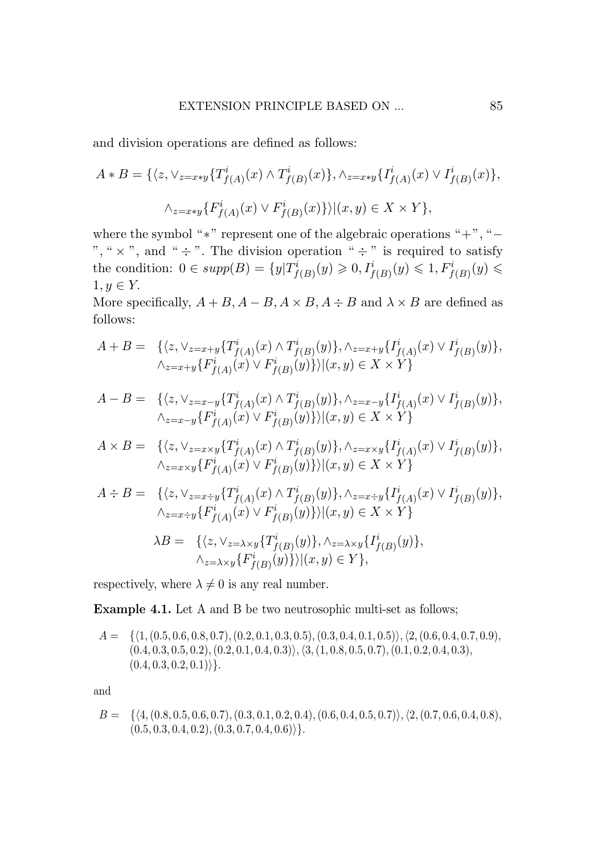and division operations are defined as follows: and division operations are defined as follows: and division operations are defined as follows:

$$
A * B = \{ \langle z, \vee_{z=x*y} \{ T^i_{f(A)}(x) \wedge T^i_{f(B)}(x) \}, \wedge_{z=x*y} \{ I^i_{f(A)}(x) \vee I^i_{f(B)}(x) \},
$$
  

$$
\wedge_{z=x*y} \{ F^i_{f(A)}(x) \vee F^i_{f(B)}(x) \} \rangle | (x,y) \in X \times Y \},
$$

where the symbol "\*" represent one of the algebraic operations "+", " $-$ ", "  $\times$  ", and "  $\div$  ". The division operation "  $\div$  " is required to satisfy the condition:  $0 \in supp(B) = \{y | T^i_{f(B)}(y) \geq 0, I^i_{f(B)}(y) \leq 1, F^i_{f(B)}(y) \leq 1\}$ 1*, y ∈ Y.* 1*, y ∈ Y.* 1*, y ∈ Y.*

More specifically,  $A + B$ ,  $A - B$ ,  $A \times B$ ,  $A \div B$  and  $\lambda \times B$  are defined as follows: follows: follows:

$$
A + B = \{ \langle z, \vee_{z=x+y} \{ T^i_{f(A)}(x) \wedge T^i_{f(B)}(y) \}, \wedge_{z=x+y} \{ I^i_{f(A)}(x) \vee I^i_{f(B)}(y) \}, \\ \wedge_{z=x+y} \{ F^i_{f(A)}(x) \vee F^i_{f(B)}(y) \} \rangle | (x, y) \in X \times Y \}
$$

$$
A-B = \{ \langle z, \vee_{z=x-y} \{ T^i_{f(A)}(x) \wedge T^i_{f(B)}(y) \}, \wedge_{z=x-y} \{ I^i_{f(A)}(x) \vee I^i_{f(B)}(y) \}, \\ \wedge_{z=x-y} \{ F^i_{f(A)}(x) \vee F^i_{f(B)}(y) \} \rangle | (x,y) \in X \times Y \}
$$

$$
A \times B = \{ \langle z, \vee_{z=x \times y} \{ T^i_{f(A)}(x) \wedge T^i_{f(B)}(y) \}, \wedge_{z=x \times y} \{ I^i_{f(A)}(x) \vee I^i_{f(B)}(y) \}, \wedge_{z=x \times y} \{ F^i_{f(A)}(x) \vee F^i_{f(B)}(y) \} \rangle | (x, y) \in X \times Y \}
$$

$$
\begin{array}{ll} A \div B = & \{ \langle z, \vee_{z=x \div y} \{ T^i_{f(A)}(x) \wedge T^i_{f(B)}(y) \}, \wedge_{z=x \div y} \{ I^i_{f(A)}(x) \vee I^i_{f(B)}(y) \}, \\ & \wedge_{z=x \div y} \{ F^i_{f(A)}(x) \vee F^i_{f(B)}(y) \} \rangle | (x,y) \in X \times Y \} \\ & \lambda B = & \{ \langle z, \vee_{z=\lambda \times y} \{ T^i_{f(B)}(y) \}, \wedge_{z=\lambda \times y} \{ I^i_{f(B)}(y) \}, \\ & \wedge_{z=\lambda \times y} \{ F^i_{f(B)}(y) \} \rangle | (x,y) \in Y \}, \end{array}
$$

respectively, where  $\lambda \neq 0$  is any real number.

Example 4.1. Let A and B be two neutrosophic multi-set as follows; Example 4.1. Let A and B be two neutrosophic multi-set as follows; Example 4.1. Let A and B be two neutrosophic multi-set as follows;

 $A = \{ \langle 1, (0.5, 0.6, 0.8, 0.7), (0.2, 0.1, 0.3, 0.5), (0.3, 0.4, 0.1, 0.5) \rangle, \langle 2, (0.6, 0.4, 0.7, 0.9), (0.6, 0.8, 0.8, 0.8), (0.8, 0.8, 0.8), (0.9, 0.8, 0.8), (0.9, 0.8, 0.8), (0.9, 0.8, 0.8), (0.9, 0.8, 0.8), (0.9, 0.8, 0.8), (0.9, 0.8, 0.$  $(0.4, 0.3, 0.5, 0.2), (0.2, 0.1, 0.4, 0.3), (3, (1, 0.8, 0.5, 0.7), (0.1, 0.2, 0.4, 0.3),$  $(0.4, 0.3, 0.2, 0.1)\$ .

and and and

$$
B = \{ \langle 4, (0.8, 0.5, 0.6, 0.7), (0.3, 0.1, 0.2, 0.4), (0.6, 0.4, 0.5, 0.7) \rangle, \langle 2, (0.7, 0.6, 0.4, 0.8), (0.5, 0.3, 0.4, 0.2), (0.3, 0.7, 0.4, 0.6) \rangle \}.
$$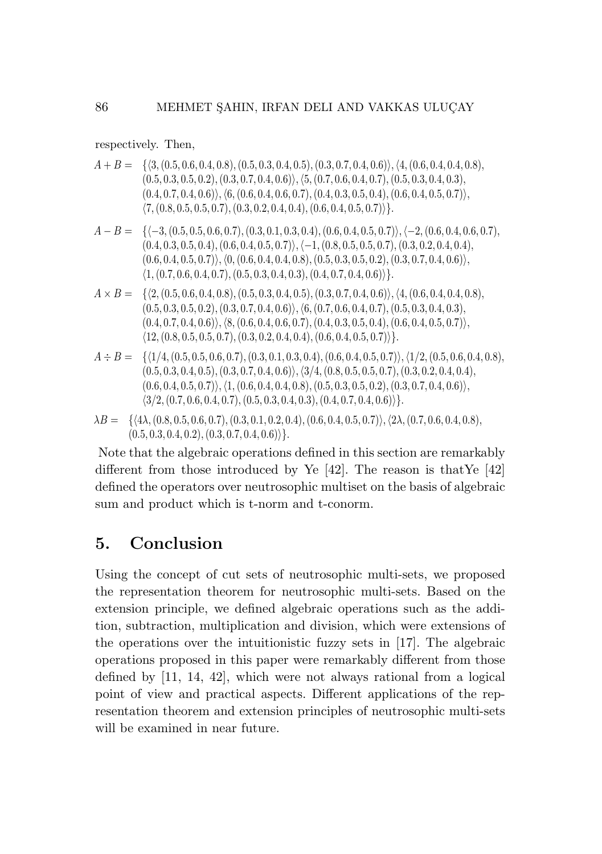respectively. Then, respectively. Then, respectively. Then,

 $A + B = \{ \langle 3, (0.5, 0.6, 0.4, 0.8), (0.5, 0.3, 0.4, 0.5), (0.3, 0.7, 0.4, 0.6) \rangle, \langle 4, (0.6, 0.4, 0.4, 0.8), (0.6, 0.4, 0.7, 0.8) \rangle, \}$  $(0.5, 0.3, 0.5, 0.2), (0.3, 0.7, 0.4, 0.6)), (5, (0.7, 0.6, 0.4, 0.7), (0.5, 0.3, 0.4, 0.3),$  $(0.4, 0.7, 0.4, 0.6)), (6, (0.6, 0.4, 0.6, 0.7), (0.4, 0.3, 0.5, 0.4), (0.6, 0.4, 0.5, 0.7)),$  $\langle 7, (0.8, 0.5, 0.5, 0.7), (0.3, 0.2, 0.4, 0.4), (0.6, 0.4, 0.5, 0.7) \rangle\}.$ 

$$
A-B=\{\langle -3, (0.5, 0.5, 0.6, 0.7), (0.3, 0.1, 0.3, 0.4), (0.6, 0.4, 0.5, 0.7)\rangle, \langle -2, (0.6, 0.4, 0.6, 0.7), (0.4, 0.3, 0.5, 0.4), (0.6, 0.4, 0.5, 0.7)\rangle, \langle -1, (0.8, 0.5, 0.5, 0.7), (0.3, 0.2, 0.4, 0.4), (0.6, 0.4, 0.5, 0.7), (0.4, 0.8), (0.5, 0.3, 0.5, 0.2), (0.3, 0.7, 0.4, 0.6)\rangle,\newline \langle 1, (0.7, 0.6, 0.4, 0.7), (0.5, 0.3, 0.4, 0.3), (0.4, 0.7, 0.4, 0.6)\rangle\}.
$$

- $A \times B = \{ \langle 2, (0.5, 0.6, 0.4, 0.8), (0.5, 0.3, 0.4, 0.5), (0.3, 0.7, 0.4, 0.6) \rangle, \langle 4, (0.6, 0.4, 0.4, 0.8), (0.6, 0.4, 0.4, 0.6) \rangle, \}$  $(0.5, 0.3, 0.5, 0.2), (0.3, 0.7, 0.4, 0.6), (6, (0.7, 0.6, 0.4, 0.7), (0.5, 0.3, 0.4, 0.3),$  $(0.4, 0.7, 0.4, 0.6) \rangle, \langle 8, (0.6, 0.4, 0.6, 0.7), (0.4, 0.3, 0.5, 0.4), (0.6, 0.4, 0.5, 0.7) \rangle,$  $(12, (0.8, 0.5, 0.5, 0.7), (0.3, 0.2, 0.4, 0.4), (0.6, 0.4, 0.5, 0.7))$ .
- $A \div B = \{ \langle 1/4, (0.5, 0.5, 0.6, 0.7), (0.3, 0.1, 0.3, 0.4), (0.6, 0.4, 0.5, 0.7) \rangle, \langle 1/2, (0.5, 0.6, 0.4, 0.8),$  $(0.5, 0.3, 0.4, 0.5), (0.3, 0.7, 0.4, 0.6), (3/4, (0.8, 0.5, 0.5, 0.7), (0.3, 0.2, 0.4, 0.4),$  $(0.6, 0.4, 0.5, 0.7) \rangle, \langle 1, (0.6, 0.4, 0.4, 0.8), (0.5, 0.3, 0.5, 0.2), (0.3, 0.7, 0.4, 0.6) \rangle,$  $\langle 3/2, (0.7, 0.6, 0.4, 0.7), (0.5, 0.3, 0.4, 0.3), (0.4, 0.7, 0.4, 0.6) \rangle\}.$
- $\lambda B = \{ \langle 4\lambda, (0.8, 0.5, 0.6, 0.7), (0.3, 0.1, 0.2, 0.4), (0.6, 0.4, 0.5, 0.7) \rangle, \langle 2\lambda, (0.7, 0.6, 0.4, 0.8),$  $(0.5, 0.3, 0.4, 0.2), (0.3, 0.7, 0.4, 0.6)\rangle\}.$

Note that the algebraic operations defined in this section are remarkably Note that the algebraic operations defined in this section are remarkably Note that the algebraic operations defined in this section are remarkably different from those introduced by Ye  $[42]$ . The reason is that Ye  $[42]$ defined the operators over neutrosophic multiset on the basis of algebraic defined the operators over neutrosophic multiset on the basis of algebraic defined the operators over neutrosophic multiset on the basis of algebraic sum and product which is t-norm and t-conorm.

## 5. Conclusion 5. Conclusion 5. Conclusion

Using the concept of cut sets of neutrosophic multi-sets, we proposed Using the concept of cut sets of neutrosophic multi-sets, we proposed Using the concept of cut sets of neutrosophic multi-sets, we proposed the representation theorem for neutrosophic multi-sets. Based on the the representation theorem for neutrosophic multi-sets. Based on the the representation theorem for neutrosophic multi-sets. Based on the extension principle, we defined algebraic operations such as the addi-extension principle, we defined algebraic operations such as the addi-extension principle, we defined algebraic operations such as the addition, subtraction, multiplication and division, which were extensions of tion, subtraction, multiplication and division, which were extensions of tion, subtraction, multiplication and division, which were extensions of the operations over the intuitionistic fuzzy sets in [17]. The algebraic the operations over the intuitionistic fuzzy sets in [17]. The algebraic the operations over the intuitionistic fuzzy sets in [17]. The algebraic operations proposed in this paper were remarkably different from those operations proposed in this paper were remarkably different from those operations proposed in this paper were remarkably different from those defined by [11, 14, 42], which were not always rational from a logical defined by [11, 14, 42], which were not always rational from a logical defined by [11, 14, 42], which were not always rational from a logical point of view and practical aspects. Different applications of the rep-point of view and practical aspects. Different applications of the rep-point of view and practical aspects. Different applications of the representation theorem and extension principles of neutrosophic multi-sets resentation theorem and extension principles of neutrosophic multi-sets resentation theorem and extension principles of neutrosophic multi-sets will be examined in near future. will be examined in near future. will be examined in near future.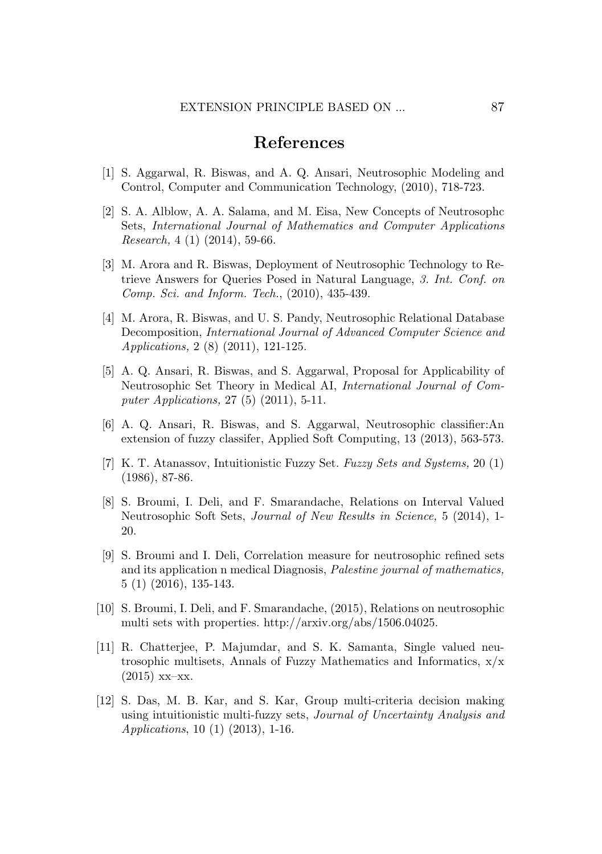#### References

- [1] S. Aggarwal, R. Biswas, and A. Q. Ansari, Neutrosophic Modeling and Control, Computer and Communication Technology, (2010), 718-723.
- [2] S. A. Alblow, A. A. Salama, and M. Eisa, New Concepts of Neutrosophc Sets, *International Journal of Mathematics and Computer Applications Research,* 4 (1) (2014), 59-66.
- [3] M. Arora and R. Biswas, Deployment of Neutrosophic Technology to Retrieve Answers for Queries Posed in Natural Language, *3. Int. Conf. on Comp. Sci. and Inform. Tech.*, (2010), 435-439.
- [4] M. Arora, R. Biswas, and U. S. Pandy, Neutrosophic Relational Database Decomposition, *International Journal of Advanced Computer Science and Applications,* 2 (8) (2011), 121-125.
- [5] A. Q. Ansari, R. Biswas, and S. Aggarwal, Proposal for Applicability of Neutrosophic Set Theory in Medical AI, *International Journal of Computer Applications,* 27 (5) (2011), 5-11.
- [6] A. Q. Ansari, R. Biswas, and S. Aggarwal, Neutrosophic classifier:An extension of fuzzy classifer, Applied Soft Computing, 13 (2013), 563-573.
- [7] K. T. Atanassov, Intuitionistic Fuzzy Set. *Fuzzy Sets and Systems,* 20 (1) (1986), 87-86.
- [8] S. Broumi, I. Deli, and F. Smarandache, Relations on Interval Valued Neutrosophic Soft Sets, *Journal of New Results in Science,* 5 (2014), 1- 20.
- [9] S. Broumi and I. Deli, Correlation measure for neutrosophic refined sets and its application n medical Diagnosis, *Palestine journal of mathematics,* 5 (1) (2016), 135-143.
- [10] S. Broumi, I. Deli, and F. Smarandache, (2015), Relations on neutrosophic multi sets with properties. http://arxiv.org/abs/1506.04025.
- [11] R. Chatterjee, P. Majumdar, and S. K. Samanta, Single valued neutrosophic multisets, Annals of Fuzzy Mathematics and Informatics,  $x/x$  $(2015)$  xx-xx.
- [12] S. Das, M. B. Kar, and S. Kar, Group multi-criteria decision making using intuitionistic multi-fuzzy sets, *Journal of Uncertainty Analysis and Applications*, 10 (1) (2013), 1-16.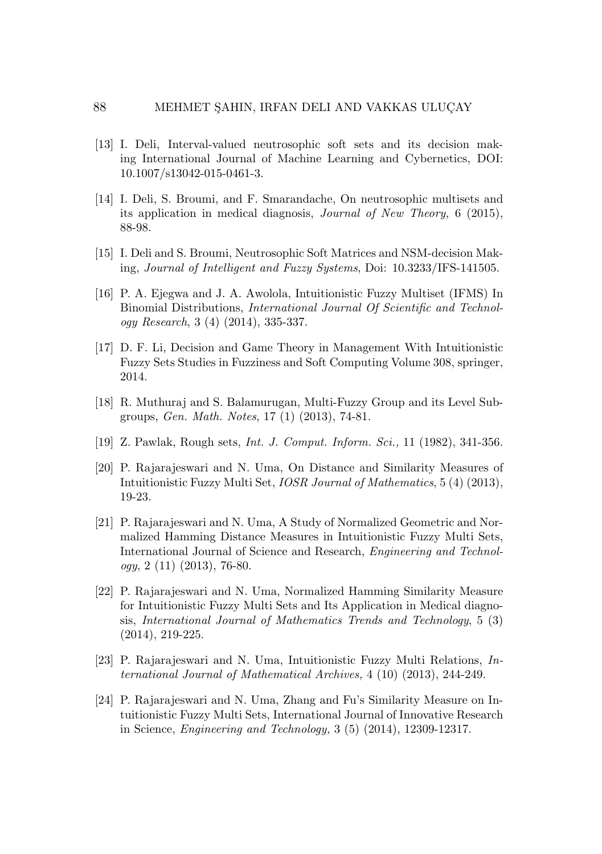- [13] I. Deli, Interval-valued neutrosophic soft sets and its decision making International Journal of Machine Learning and Cybernetics, DOI: 10.1007/s13042-015-0461-3.
- [14] I. Deli, S. Broumi, and F. Smarandache, On neutrosophic multisets and its application in medical diagnosis, *Journal of New Theory,* 6 (2015), 88-98.
- [15] I. Deli and S. Broumi, Neutrosophic Soft Matrices and NSM-decision Making, *Journal of Intelligent and Fuzzy Systems*, Doi: 10.3233/IFS-141505.
- [16] P. A. Ejegwa and J. A. Awolola, Intuitionistic Fuzzy Multiset (IFMS) In Binomial Distributions, *International Journal Of Scientific and Technology Research*, 3 (4) (2014), 335-337.
- [17] D. F. Li, Decision and Game Theory in Management With Intuitionistic Fuzzy Sets Studies in Fuzziness and Soft Computing Volume 308, springer, 2014.
- [18] R. Muthuraj and S. Balamurugan, Multi-Fuzzy Group and its Level Subgroups, *Gen. Math. Notes*, 17 (1) (2013), 74-81.
- [19] Z. Pawlak, Rough sets, *Int. J. Comput. Inform. Sci.,* 11 (1982), 341-356.
- [20] P. Rajarajeswari and N. Uma, On Distance and Similarity Measures of Intuitionistic Fuzzy Multi Set, *IOSR Journal of Mathematics*, 5 (4) (2013), 19-23.
- [21] P. Rajarajeswari and N. Uma, A Study of Normalized Geometric and Normalized Hamming Distance Measures in Intuitionistic Fuzzy Multi Sets, International Journal of Science and Research, *Engineering and Technology*, 2 (11) (2013), 76-80.
- [22] P. Rajarajeswari and N. Uma, Normalized Hamming Similarity Measure for Intuitionistic Fuzzy Multi Sets and Its Application in Medical diagnosis, *International Journal of Mathematics Trends and Technology*, 5 (3) (2014), 219-225.
- [23] P. Rajarajeswari and N. Uma, Intuitionistic Fuzzy Multi Relations, *International Journal of Mathematical Archives,* 4 (10) (2013), 244-249.
- [24] P. Rajarajeswari and N. Uma, Zhang and Fu's Similarity Measure on Intuitionistic Fuzzy Multi Sets, International Journal of Innovative Research in Science, *Engineering and Technology,* 3 (5) (2014), 12309-12317.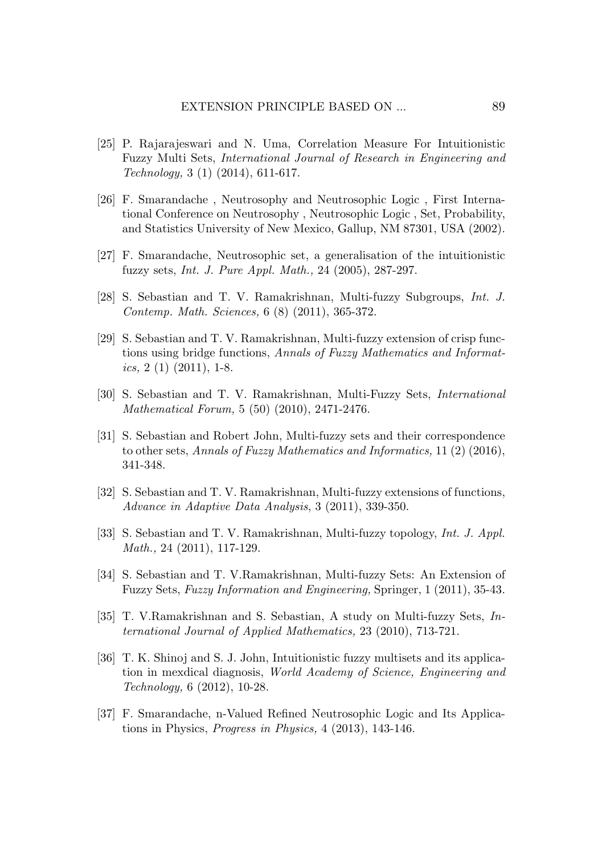- [25] P. Rajarajeswari and N. Uma, Correlation Measure For Intuitionistic Fuzzy Multi Sets, *International Journal of Research in Engineering and Technology,* 3 (1) (2014), 611-617.
- [26] F. Smarandache , Neutrosophy and Neutrosophic Logic , First International Conference on Neutrosophy , Neutrosophic Logic , Set, Probability, and Statistics University of New Mexico, Gallup, NM 87301, USA (2002).
- [27] F. Smarandache, Neutrosophic set, a generalisation of the intuitionistic fuzzy sets, *Int. J. Pure Appl. Math.,* 24 (2005), 287-297.
- [28] S. Sebastian and T. V. Ramakrishnan, Multi-fuzzy Subgroups, *Int. J. Contemp. Math. Sciences,* 6 (8) (2011), 365-372.
- [29] S. Sebastian and T. V. Ramakrishnan, Multi-fuzzy extension of crisp functions using bridge functions, *Annals of Fuzzy Mathematics and Informatics,* 2 (1) (2011), 1-8.
- [30] S. Sebastian and T. V. Ramakrishnan, Multi-Fuzzy Sets, *International Mathematical Forum,* 5 (50) (2010), 2471-2476.
- [31] S. Sebastian and Robert John, Multi-fuzzy sets and their correspondence to other sets, *Annals of Fuzzy Mathematics and Informatics,* 11 (2) (2016), 341-348.
- [32] S. Sebastian and T. V. Ramakrishnan, Multi-fuzzy extensions of functions, *Advance in Adaptive Data Analysis*, 3 (2011), 339-350.
- [33] S. Sebastian and T. V. Ramakrishnan, Multi-fuzzy topology, *Int. J. Appl. Math.,* 24 (2011), 117-129.
- [34] S. Sebastian and T. V.Ramakrishnan, Multi-fuzzy Sets: An Extension of Fuzzy Sets, *Fuzzy Information and Engineering,* Springer, 1 (2011), 35-43.
- [35] T. V.Ramakrishnan and S. Sebastian, A study on Multi-fuzzy Sets, *International Journal of Applied Mathematics,* 23 (2010), 713-721.
- [36] T. K. Shinoj and S. J. John, Intuitionistic fuzzy multisets and its application in mexdical diagnosis, *World Academy of Science, Engineering and Technology,* 6 (2012), 10-28.
- [37] F. Smarandache, n-Valued Refined Neutrosophic Logic and Its Applications in Physics, *Progress in Physics,* 4 (2013), 143-146.